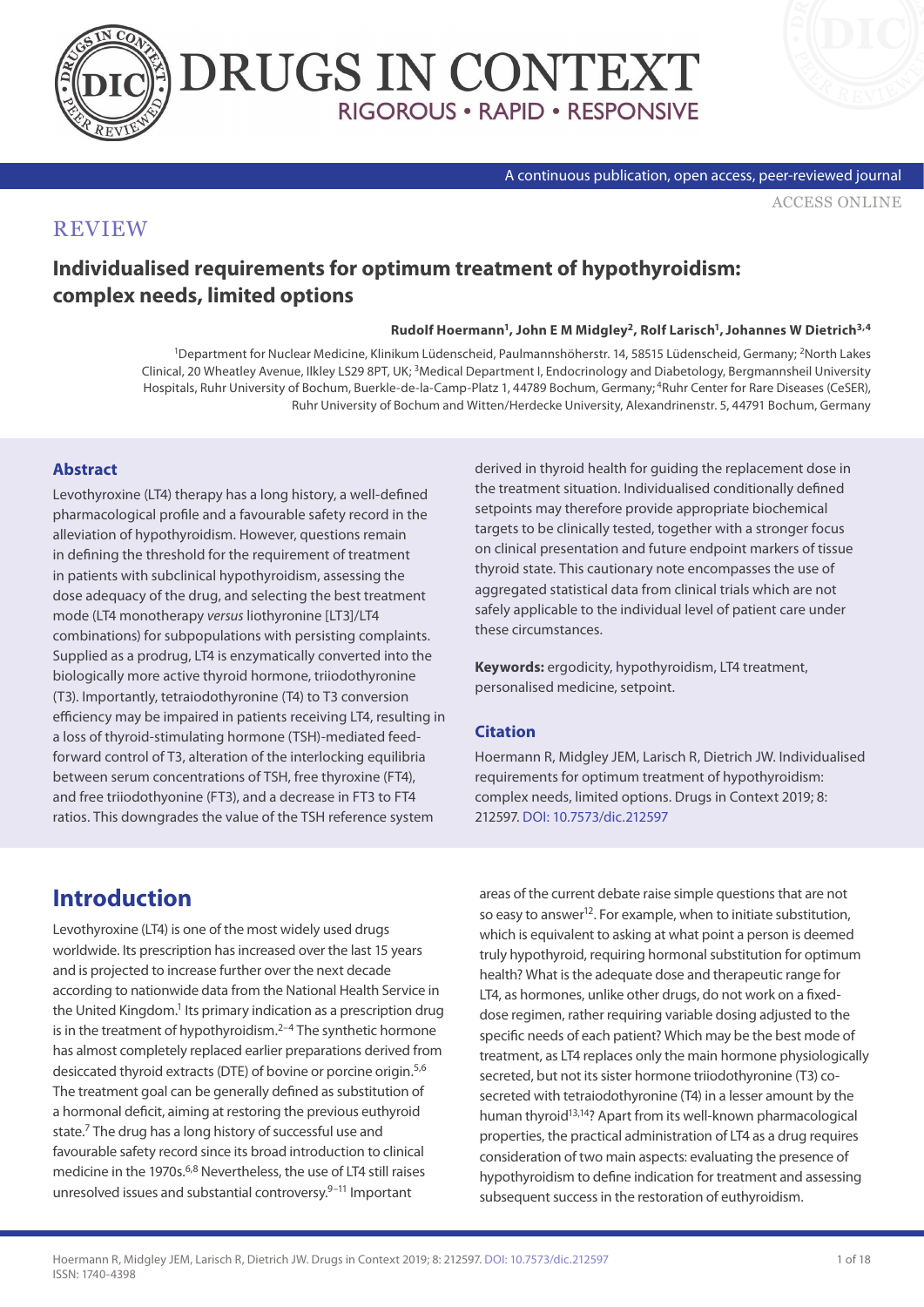



#### A continuous publication, open access, peer-reviewed journal

[ACCESS ONLINE](https://www.drugsincontext.com/individualised-requirements-for-optimum-treatment-of-hypothyroidism:-complex-needs,-limited-options)

#### **REVIEW**

### **Individualised requirements for optimum treatment of hypothyroidism: complex needs, limited options**

#### **Rudolf Hoermann1, John E M Midgley2, Rolf Larisch1, Johannes W Dietrich3,4**

1Department for Nuclear Medicine, Klinikum Lüdenscheid, Paulmannshöherstr. 14, 58515 Lüdenscheid, Germany; 2North Lakes Clinical, 20 Wheatley Avenue, Ilkley LS29 8PT, UK; 3Medical Department I, Endocrinology and Diabetology, Bergmannsheil University Hospitals, Ruhr University of Bochum, Buerkle-de-la-Camp-Platz 1, 44789 Bochum, Germany; 4Ruhr Center for Rare Diseases (CeSER), Ruhr University of Bochum and Witten/Herdecke University, Alexandrinenstr. 5, 44791 Bochum, Germany

#### **Abstract**

Levothyroxine (LT4) therapy has a long history, a well-defined pharmacological profile and a favourable safety record in the alleviation of hypothyroidism. However, questions remain in defining the threshold for the requirement of treatment in patients with subclinical hypothyroidism, assessing the dose adequacy of the drug, and selecting the best treatment mode (LT4 monotherapy *versus* liothyronine [LT3]/LT4 combinations) for subpopulations with persisting complaints. Supplied as a prodrug, LT4 is enzymatically converted into the biologically more active thyroid hormone, triiodothyronine (T3). Importantly, tetraiodothyronine (T4) to T3 conversion efficiency may be impaired in patients receiving LT4, resulting in a loss of thyroid-stimulating hormone (TSH)-mediated feedforward control of T3, alteration of the interlocking equilibria between serum concentrations of TSH, free thyroxine (FT4), and free triiodothyonine (FT3), and a decrease in FT3 to FT4 ratios. This downgrades the value of the TSH reference system

derived in thyroid health for guiding the replacement dose in the treatment situation. Individualised conditionally defined setpoints may therefore provide appropriate biochemical targets to be clinically tested, together with a stronger focus on clinical presentation and future endpoint markers of tissue thyroid state. This cautionary note encompasses the use of aggregated statistical data from clinical trials which are not safely applicable to the individual level of patient care under these circumstances.

**Keywords:** ergodicity, hypothyroidism, LT4 treatment, personalised medicine, setpoint.

#### **Citation**

Hoermann R, Midgley JEM, Larisch R, Dietrich JW. Individualised requirements for optimum treatment of hypothyroidism: complex needs, limited options. Drugs in Context 2019; 8: 212597. [DOI: 10.7573/dic.212597](https://doi.org/10.7573/dic.212597)

## **Introduction**

Levothyroxine (LT4) is one of the most widely used drugs worldwide. Its prescription has increased over the last 15 years and is projected to increase further over the next decade according to nationwide data from the National Health Service in the United Kingdom.<sup>1</sup> Its primary indication as a prescription drug is in the treatment of hypothyroidism. $2-4$  The synthetic hormone has almost completely replaced earlier preparations derived from desiccated thyroid extracts (DTE) of bovine or porcine origin.<sup>5,6</sup> The treatment goal can be generally defined as substitution of a hormonal deficit, aiming at restoring the previous euthyroid state.7 The drug has a long history of successful use and favourable safety record since its broad introduction to clinical medicine in the 1970s.<sup>6,8</sup> Nevertheless, the use of LT4 still raises unresolved issues and substantial controversy.9–11 Important

areas of the current debate raise simple questions that are not so easy to answer<sup>12</sup>. For example, when to initiate substitution, which is equivalent to asking at what point a person is deemed truly hypothyroid, requiring hormonal substitution for optimum health? What is the adequate dose and therapeutic range for LT4, as hormones, unlike other drugs, do not work on a fixeddose regimen, rather requiring variable dosing adjusted to the specific needs of each patient? Which may be the best mode of treatment, as LT4 replaces only the main hormone physiologically secreted, but not its sister hormone triiodothyronine (T3) cosecreted with tetraiodothyronine (T4) in a lesser amount by the human thyroid<sup>13,14</sup>? Apart from its well-known pharmacological properties, the practical administration of LT4 as a drug requires consideration of two main aspects: evaluating the presence of hypothyroidism to define indication for treatment and assessing subsequent success in the restoration of euthyroidism.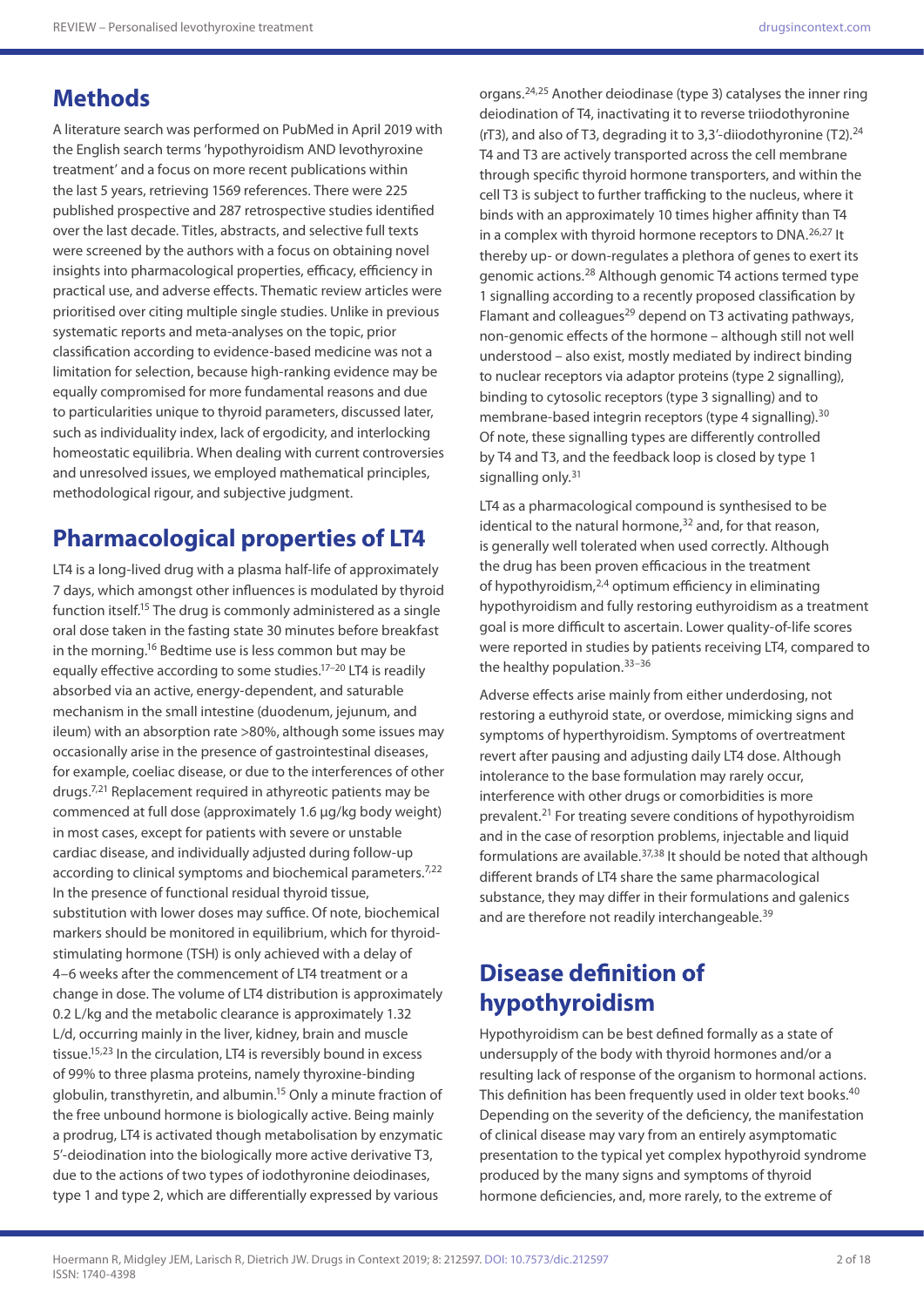## **Methods**

A literature search was performed on PubMed in April 2019 with the English search terms 'hypothyroidism AND levothyroxine treatment' and a focus on more recent publications within the last 5 years, retrieving 1569 references. There were 225 published prospective and 287 retrospective studies identified over the last decade. Titles, abstracts, and selective full texts were screened by the authors with a focus on obtaining novel insights into pharmacological properties, efficacy, efficiency in practical use, and adverse effects. Thematic review articles were prioritised over citing multiple single studies. Unlike in previous systematic reports and meta-analyses on the topic, prior classification according to evidence-based medicine was not a limitation for selection, because high-ranking evidence may be equally compromised for more fundamental reasons and due to particularities unique to thyroid parameters, discussed later, such as individuality index, lack of ergodicity, and interlocking homeostatic equilibria. When dealing with current controversies and unresolved issues, we employed mathematical principles, methodological rigour, and subjective judgment.

# **Pharmacological properties of LT4**

LT4 is a long-lived drug with a plasma half-life of approximately 7 days, which amongst other influences is modulated by thyroid function itself.<sup>15</sup> The drug is commonly administered as a single oral dose taken in the fasting state 30 minutes before breakfast in the morning.16 Bedtime use is less common but may be equally effective according to some studies.<sup>17-20</sup> LT4 is readily absorbed via an active, energy-dependent, and saturable mechanism in the small intestine (duodenum, jejunum, and ileum) with an absorption rate >80%, although some issues may occasionally arise in the presence of gastrointestinal diseases, for example, coeliac disease, or due to the interferences of other drugs.7,21 Replacement required in athyreotic patients may be commenced at full dose (approximately 1.6 µg/kg body weight) in most cases, except for patients with severe or unstable cardiac disease, and individually adjusted during follow-up according to clinical symptoms and biochemical parameters.<sup>7,22</sup> In the presence of functional residual thyroid tissue, substitution with lower doses may suffice. Of note, biochemical markers should be monitored in equilibrium, which for thyroidstimulating hormone (TSH) is only achieved with a delay of 4–6 weeks after the commencement of LT4 treatment or a change in dose. The volume of LT4 distribution is approximately 0.2 L/kg and the metabolic clearance is approximately 1.32 L/d, occurring mainly in the liver, kidney, brain and muscle tissue.15,23 In the circulation, LT4 is reversibly bound in excess of 99% to three plasma proteins, namely thyroxine-binding globulin, transthyretin, and albumin.<sup>15</sup> Only a minute fraction of the free unbound hormone is biologically active. Being mainly a prodrug, LT4 is activated though metabolisation by enzymatic 5'-deiodination into the biologically more active derivative T3, due to the actions of two types of iodothyronine deiodinases, type 1 and type 2, which are differentially expressed by various

organs.24,25 Another deiodinase (type 3) catalyses the inner ring deiodination of T4, inactivating it to reverse triiodothyronine ( $rT3$ ), and also of T3, degrading it to 3,3'-diiodothyronine (T2).<sup>24</sup> T4 and T3 are actively transported across the cell membrane through specific thyroid hormone transporters, and within the cell T3 is subject to further trafficking to the nucleus, where it binds with an approximately 10 times higher affinity than T4 in a complex with thyroid hormone receptors to DNA.26,27 It thereby up- or down-regulates a plethora of genes to exert its genomic actions.28 Although genomic T4 actions termed type 1 signalling according to a recently proposed classification by Flamant and colleagues $^{29}$  depend on T3 activating pathways, non-genomic effects of the hormone – although still not well understood – also exist, mostly mediated by indirect binding to nuclear receptors via adaptor proteins (type 2 signalling), binding to cytosolic receptors (type 3 signalling) and to membrane-based integrin receptors (type 4 signalling).<sup>30</sup> Of note, these signalling types are differently controlled by T4 and T3, and the feedback loop is closed by type 1 signalling only.<sup>31</sup>

LT4 as a pharmacological compound is synthesised to be identical to the natural hormone, $32$  and, for that reason, is generally well tolerated when used correctly. Although the drug has been proven efficacious in the treatment of hypothyroidism,2,4 optimum efficiency in eliminating hypothyroidism and fully restoring euthyroidism as a treatment goal is more difficult to ascertain. Lower quality-of-life scores were reported in studies by patients receiving LT4, compared to the healthy population.<sup>33-36</sup>

Adverse effects arise mainly from either underdosing, not restoring a euthyroid state, or overdose, mimicking signs and symptoms of hyperthyroidism. Symptoms of overtreatment revert after pausing and adjusting daily LT4 dose. Although intolerance to the base formulation may rarely occur, interference with other drugs or comorbidities is more prevalent.21 For treating severe conditions of hypothyroidism and in the case of resorption problems, injectable and liquid formulations are available.<sup>37,38</sup> It should be noted that although different brands of LT4 share the same pharmacological substance, they may differ in their formulations and galenics and are therefore not readily interchangeable.<sup>39</sup>

# **Disease definition of hypothyroidism**

Hypothyroidism can be best defined formally as a state of undersupply of the body with thyroid hormones and/or a resulting lack of response of the organism to hormonal actions. This definition has been frequently used in older text books.<sup>40</sup> Depending on the severity of the deficiency, the manifestation of clinical disease may vary from an entirely asymptomatic presentation to the typical yet complex hypothyroid syndrome produced by the many signs and symptoms of thyroid hormone deficiencies, and, more rarely, to the extreme of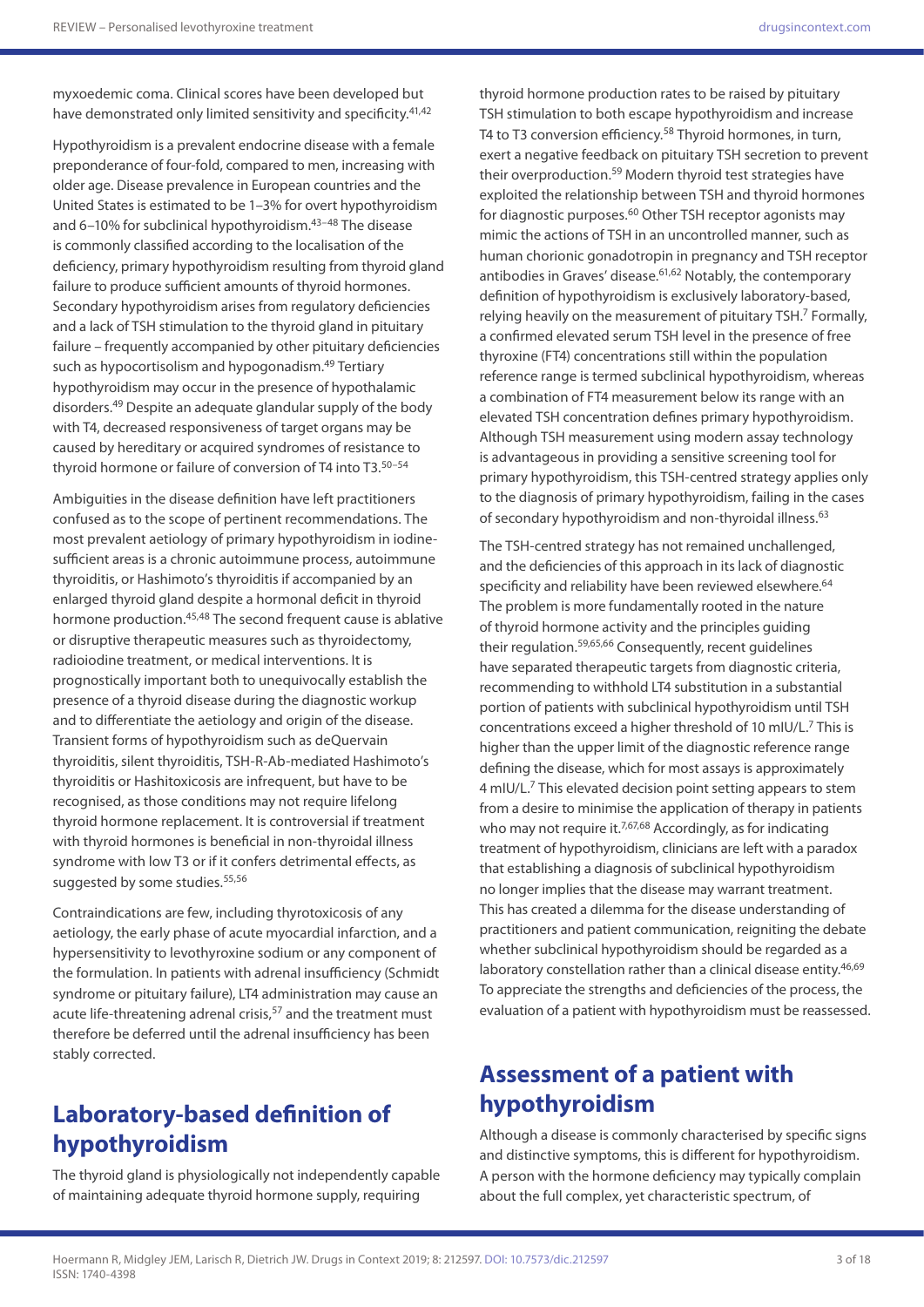myxoedemic coma. Clinical scores have been developed but have demonstrated only limited sensitivity and specificity.<sup>41,42</sup>

Hypothyroidism is a prevalent endocrine disease with a female preponderance of four-fold, compared to men, increasing with older age. Disease prevalence in European countries and the United States is estimated to be 1–3% for overt hypothyroidism and 6-10% for subclinical hypothyroidism.<sup>43-48</sup> The disease is commonly classified according to the localisation of the deficiency, primary hypothyroidism resulting from thyroid gland failure to produce sufficient amounts of thyroid hormones. Secondary hypothyroidism arises from regulatory deficiencies and a lack of TSH stimulation to the thyroid gland in pituitary failure – frequently accompanied by other pituitary deficiencies such as hypocortisolism and hypogonadism.<sup>49</sup> Tertiary hypothyroidism may occur in the presence of hypothalamic disorders.49 Despite an adequate glandular supply of the body with T4, decreased responsiveness of target organs may be caused by hereditary or acquired syndromes of resistance to thyroid hormone or failure of conversion of T4 into T3.<sup>50-54</sup>

Ambiguities in the disease definition have left practitioners confused as to the scope of pertinent recommendations. The most prevalent aetiology of primary hypothyroidism in iodinesufficient areas is a chronic autoimmune process, autoimmune thyroiditis, or Hashimoto's thyroiditis if accompanied by an enlarged thyroid gland despite a hormonal deficit in thyroid hormone production.<sup>45,48</sup> The second frequent cause is ablative or disruptive therapeutic measures such as thyroidectomy, radioiodine treatment, or medical interventions. It is prognostically important both to unequivocally establish the presence of a thyroid disease during the diagnostic workup and to differentiate the aetiology and origin of the disease. Transient forms of hypothyroidism such as deQuervain thyroiditis, silent thyroiditis, TSH-R-Ab-mediated Hashimoto's thyroiditis or Hashitoxicosis are infrequent, but have to be recognised, as those conditions may not require lifelong thyroid hormone replacement. It is controversial if treatment with thyroid hormones is beneficial in non-thyroidal illness syndrome with low T3 or if it confers detrimental effects, as suggested by some studies.<sup>55,56</sup>

Contraindications are few, including thyrotoxicosis of any aetiology, the early phase of acute myocardial infarction, and a hypersensitivity to levothyroxine sodium or any component of the formulation. In patients with adrenal insufficiency (Schmidt syndrome or pituitary failure), LT4 administration may cause an acute life-threatening adrenal crisis,<sup>57</sup> and the treatment must therefore be deferred until the adrenal insufficiency has been stably corrected.

# **Laboratory-based definition of hypothyroidism**

The thyroid gland is physiologically not independently capable of maintaining adequate thyroid hormone supply, requiring

thyroid hormone production rates to be raised by pituitary TSH stimulation to both escape hypothyroidism and increase T4 to T3 conversion efficiency.<sup>58</sup> Thyroid hormones, in turn, exert a negative feedback on pituitary TSH secretion to prevent their overproduction.<sup>59</sup> Modern thyroid test strategies have exploited the relationship between TSH and thyroid hormones for diagnostic purposes.<sup>60</sup> Other TSH receptor agonists may mimic the actions of TSH in an uncontrolled manner, such as human chorionic gonadotropin in pregnancy and TSH receptor antibodies in Graves' disease.<sup>61,62</sup> Notably, the contemporary definition of hypothyroidism is exclusively laboratory-based, relying heavily on the measurement of pituitary TSH.<sup>7</sup> Formally, a confirmed elevated serum TSH level in the presence of free thyroxine (FT4) concentrations still within the population reference range is termed subclinical hypothyroidism, whereas a combination of FT4 measurement below its range with an elevated TSH concentration defines primary hypothyroidism. Although TSH measurement using modern assay technology is advantageous in providing a sensitive screening tool for primary hypothyroidism, this TSH-centred strategy applies only to the diagnosis of primary hypothyroidism, failing in the cases of secondary hypothyroidism and non-thyroidal illness.<sup>63</sup>

The TSH-centred strategy has not remained unchallenged, and the deficiencies of this approach in its lack of diagnostic specificity and reliability have been reviewed elsewhere.<sup>64</sup> The problem is more fundamentally rooted in the nature of thyroid hormone activity and the principles guiding their regulation.59,65,66 Consequently, recent guidelines have separated therapeutic targets from diagnostic criteria, recommending to withhold LT4 substitution in a substantial portion of patients with subclinical hypothyroidism until TSH concentrations exceed a higher threshold of 10 mIU/L.7 This is higher than the upper limit of the diagnostic reference range defining the disease, which for most assays is approximately 4 mIU/L.7 This elevated decision point setting appears to stem from a desire to minimise the application of therapy in patients who may not require it.<sup>7,67,68</sup> Accordingly, as for indicating treatment of hypothyroidism, clinicians are left with a paradox that establishing a diagnosis of subclinical hypothyroidism no longer implies that the disease may warrant treatment. This has created a dilemma for the disease understanding of practitioners and patient communication, reigniting the debate whether subclinical hypothyroidism should be regarded as a laboratory constellation rather than a clinical disease entity.<sup>46,69</sup> To appreciate the strengths and deficiencies of the process, the evaluation of a patient with hypothyroidism must be reassessed.

# **Assessment of a patient with hypothyroidism**

Although a disease is commonly characterised by specific signs and distinctive symptoms, this is different for hypothyroidism. A person with the hormone deficiency may typically complain about the full complex, yet characteristic spectrum, of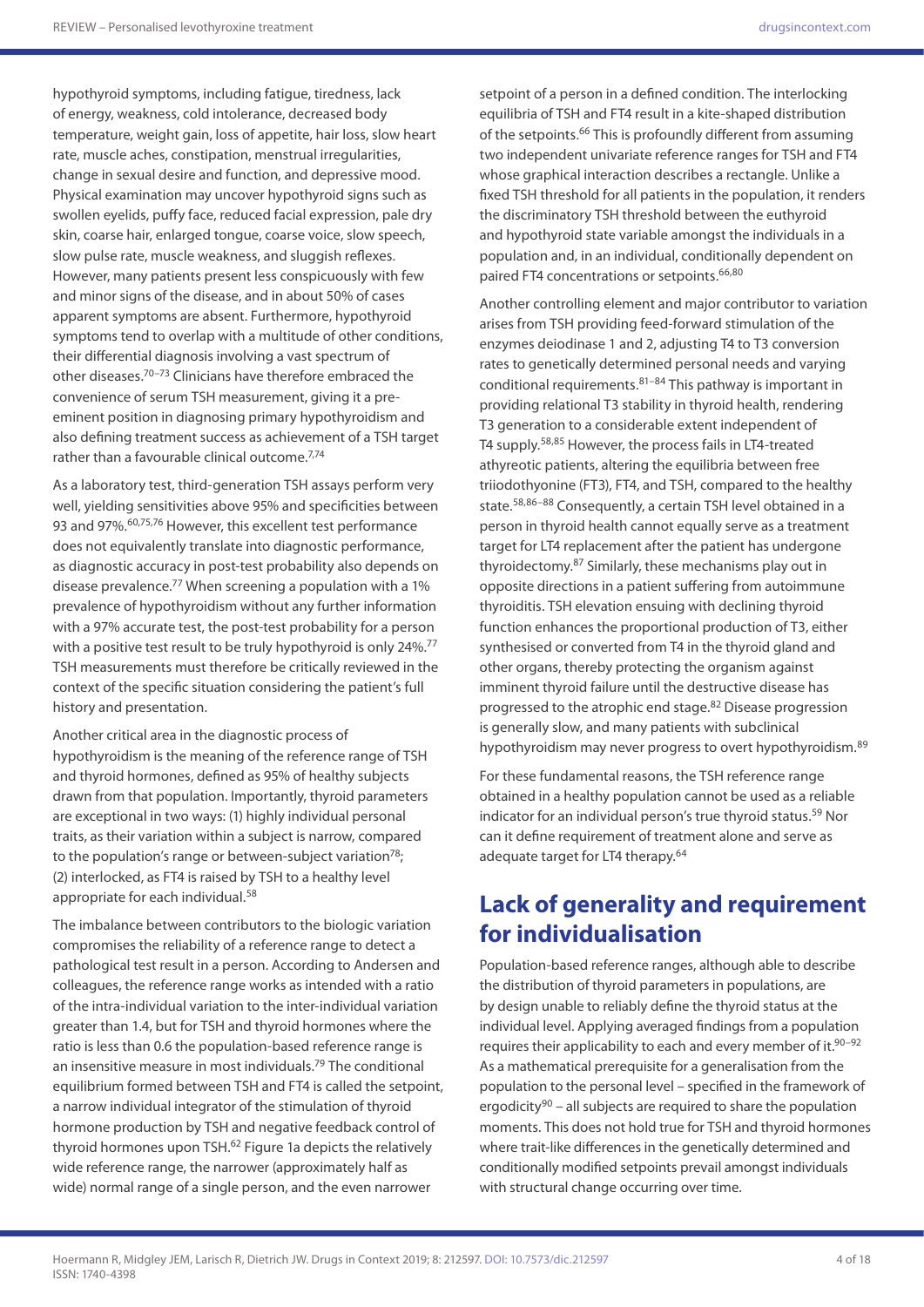hypothyroid symptoms, including fatigue, tiredness, lack of energy, weakness, cold intolerance, decreased body temperature, weight gain, loss of appetite, hair loss, slow heart rate, muscle aches, constipation, menstrual irregularities, change in sexual desire and function, and depressive mood. Physical examination may uncover hypothyroid signs such as swollen eyelids, puffy face, reduced facial expression, pale dry skin, coarse hair, enlarged tongue, coarse voice, slow speech, slow pulse rate, muscle weakness, and sluggish reflexes. However, many patients present less conspicuously with few and minor signs of the disease, and in about 50% of cases apparent symptoms are absent. Furthermore, hypothyroid symptoms tend to overlap with a multitude of other conditions, their differential diagnosis involving a vast spectrum of other diseases.70–73 Clinicians have therefore embraced the convenience of serum TSH measurement, giving it a preeminent position in diagnosing primary hypothyroidism and also defining treatment success as achievement of a TSH target rather than a favourable clinical outcome.<sup>7,74</sup>

As a laboratory test, third-generation TSH assays perform very well, yielding sensitivities above 95% and specificities between 93 and 97%.<sup>60,75,76</sup> However, this excellent test performance does not equivalently translate into diagnostic performance, as diagnostic accuracy in post-test probability also depends on disease prevalence.<sup>77</sup> When screening a population with a 1% prevalence of hypothyroidism without any further information with a 97% accurate test, the post-test probability for a person with a positive test result to be truly hypothyroid is only 24%.<sup>77</sup> TSH measurements must therefore be critically reviewed in the context of the specific situation considering the patient's full history and presentation.

Another critical area in the diagnostic process of hypothyroidism is the meaning of the reference range of TSH and thyroid hormones, defined as 95% of healthy subjects drawn from that population. Importantly, thyroid parameters are exceptional in two ways: (1) highly individual personal traits, as their variation within a subject is narrow, compared to the population's range or between-subject variation $78$ ; (2) interlocked, as FT4 is raised by TSH to a healthy level appropriate for each individual.58

The imbalance between contributors to the biologic variation compromises the reliability of a reference range to detect a pathological test result in a person. According to Andersen and colleagues, the reference range works as intended with a ratio of the intra-individual variation to the inter-individual variation greater than 1.4, but for TSH and thyroid hormones where the ratio is less than 0.6 the population-based reference range is an insensitive measure in most individuals.79 The conditional equilibrium formed between TSH and FT4 is called the setpoint, a narrow individual integrator of the stimulation of thyroid hormone production by TSH and negative feedback control of thyroid hormones upon TSH.<sup>62</sup> Figure 1a depicts the relatively wide reference range, the narrower (approximately half as wide) normal range of a single person, and the even narrower

setpoint of a person in a defined condition. The interlocking equilibria of TSH and FT4 result in a kite-shaped distribution of the setpoints.<sup>66</sup> This is profoundly different from assuming two independent univariate reference ranges for TSH and FT4 whose graphical interaction describes a rectangle. Unlike a fixed TSH threshold for all patients in the population, it renders the discriminatory TSH threshold between the euthyroid and hypothyroid state variable amongst the individuals in a population and, in an individual, conditionally dependent on paired FT4 concentrations or setpoints.66,80

Another controlling element and major contributor to variation arises from TSH providing feed-forward stimulation of the enzymes deiodinase 1 and 2, adjusting T4 to T3 conversion rates to genetically determined personal needs and varying conditional requirements. $81-84$  This pathway is important in providing relational T3 stability in thyroid health, rendering T3 generation to a considerable extent independent of T4 supply.58,85 However, the process fails in LT4-treated athyreotic patients, altering the equilibria between free triiodothyonine (FT3), FT4, and TSH, compared to the healthy state.<sup>58,86–88</sup> Consequently, a certain TSH level obtained in a person in thyroid health cannot equally serve as a treatment target for LT4 replacement after the patient has undergone thyroidectomy.87 Similarly, these mechanisms play out in opposite directions in a patient suffering from autoimmune thyroiditis. TSH elevation ensuing with declining thyroid function enhances the proportional production of T3, either synthesised or converted from T4 in the thyroid gland and other organs, thereby protecting the organism against imminent thyroid failure until the destructive disease has progressed to the atrophic end stage.82 Disease progression is generally slow, and many patients with subclinical hypothyroidism may never progress to overt hypothyroidism.<sup>89</sup>

For these fundamental reasons, the TSH reference range obtained in a healthy population cannot be used as a reliable indicator for an individual person's true thyroid status.<sup>59</sup> Nor can it define requirement of treatment alone and serve as adequate target for LT4 therapy.<sup>64</sup>

## **Lack of generality and requirement for individualisation**

Population-based reference ranges, although able to describe the distribution of thyroid parameters in populations, are by design unable to reliably define the thyroid status at the individual level. Applying averaged findings from a population requires their applicability to each and every member of it.<sup>90-92</sup> As a mathematical prerequisite for a generalisation from the population to the personal level – specified in the framework of ergodicity<sup>90</sup> – all subjects are required to share the population moments. This does not hold true for TSH and thyroid hormones where trait-like differences in the genetically determined and conditionally modified setpoints prevail amongst individuals with structural change occurring over time.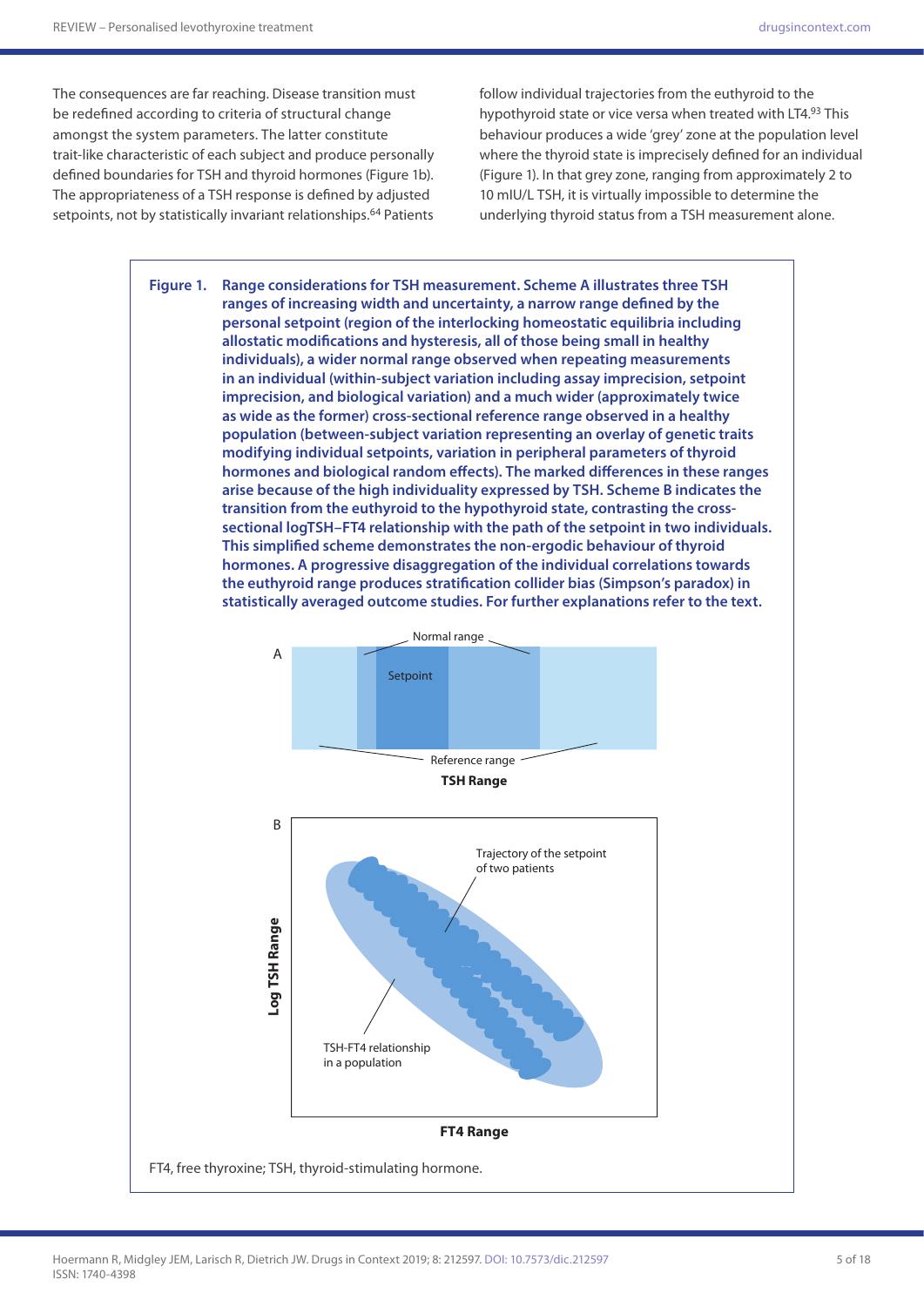The consequences are far reaching. Disease transition must be redefined according to criteria of structural change amongst the system parameters. The latter constitute trait-like characteristic of each subject and produce personally defined boundaries for TSH and thyroid hormones (Figure 1b). The appropriateness of a TSH response is defined by adjusted setpoints, not by statistically invariant relationships.<sup>64</sup> Patients

follow individual trajectories from the euthyroid to the hypothyroid state or vice versa when treated with LT4.93 This behaviour produces a wide 'grey' zone at the population level where the thyroid state is imprecisely defined for an individual (Figure 1). In that grey zone, ranging from approximately 2 to 10 mIU/L TSH, it is virtually impossible to determine the underlying thyroid status from a TSH measurement alone.



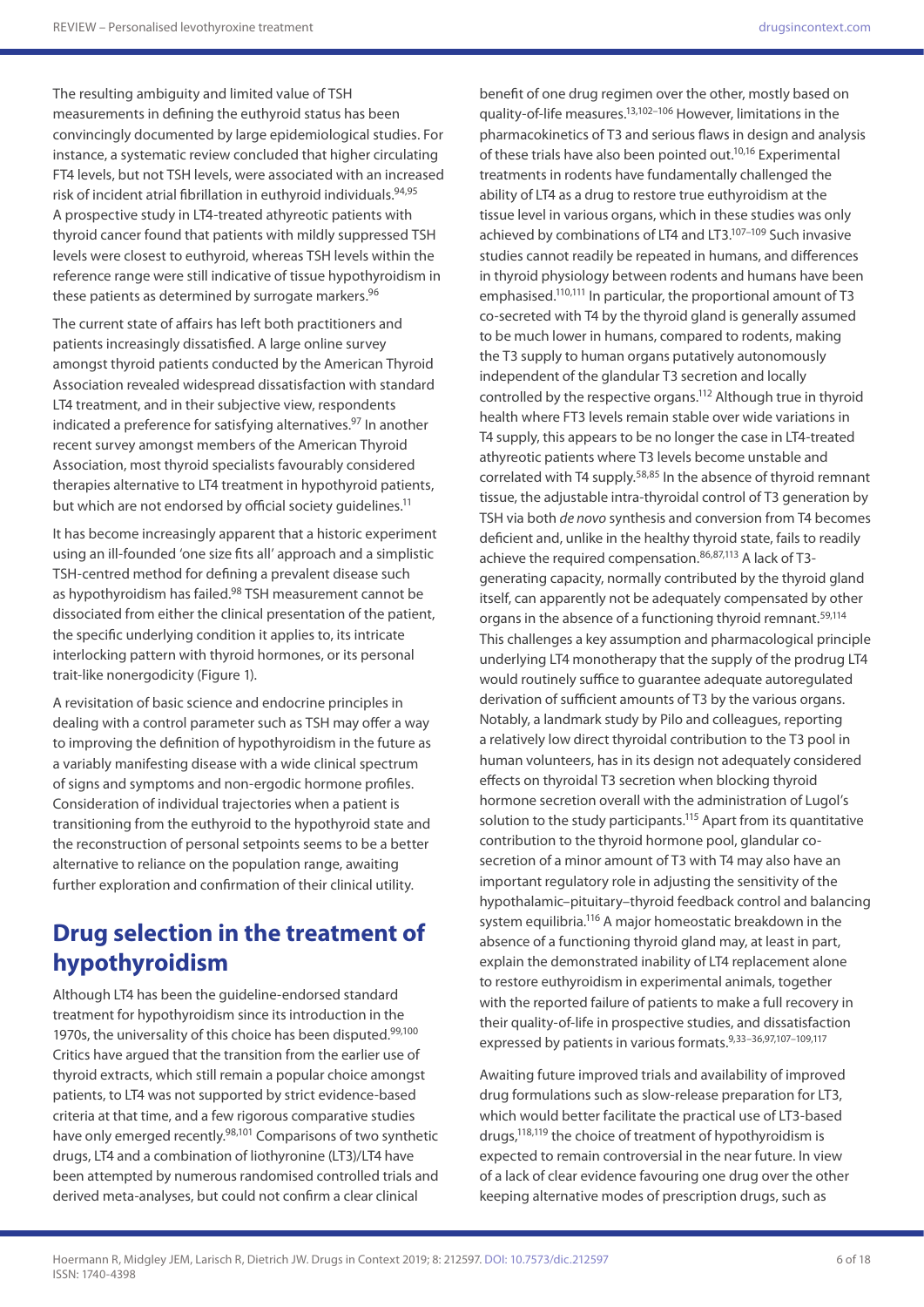The resulting ambiguity and limited value of TSH measurements in defining the euthyroid status has been convincingly documented by large epidemiological studies. For instance, a systematic review concluded that higher circulating FT4 levels, but not TSH levels, were associated with an increased risk of incident atrial fibrillation in euthyroid individuals.<sup>94,95</sup> A prospective study in LT4-treated athyreotic patients with thyroid cancer found that patients with mildly suppressed TSH levels were closest to euthyroid, whereas TSH levels within the reference range were still indicative of tissue hypothyroidism in these patients as determined by surrogate markers.<sup>96</sup>

The current state of affairs has left both practitioners and patients increasingly dissatisfied. A large online survey amongst thyroid patients conducted by the American Thyroid Association revealed widespread dissatisfaction with standard LT4 treatment, and in their subjective view, respondents indicated a preference for satisfying alternatives.<sup>97</sup> In another recent survey amongst members of the American Thyroid Association, most thyroid specialists favourably considered therapies alternative to LT4 treatment in hypothyroid patients, but which are not endorsed by official society guidelines.<sup>11</sup>

It has become increasingly apparent that a historic experiment using an ill-founded 'one size fits all' approach and a simplistic TSH-centred method for defining a prevalent disease such as hypothyroidism has failed.<sup>98</sup> TSH measurement cannot be dissociated from either the clinical presentation of the patient, the specific underlying condition it applies to, its intricate interlocking pattern with thyroid hormones, or its personal trait-like nonergodicity (Figure 1).

A revisitation of basic science and endocrine principles in dealing with a control parameter such as TSH may offer a way to improving the definition of hypothyroidism in the future as a variably manifesting disease with a wide clinical spectrum of signs and symptoms and non-ergodic hormone profiles. Consideration of individual trajectories when a patient is transitioning from the euthyroid to the hypothyroid state and the reconstruction of personal setpoints seems to be a better alternative to reliance on the population range, awaiting further exploration and confirmation of their clinical utility.

## **Drug selection in the treatment of hypothyroidism**

Although LT4 has been the guideline-endorsed standard treatment for hypothyroidism since its introduction in the 1970s, the universality of this choice has been disputed.<sup>99,100</sup> Critics have argued that the transition from the earlier use of thyroid extracts, which still remain a popular choice amongst patients, to LT4 was not supported by strict evidence-based criteria at that time, and a few rigorous comparative studies have only emerged recently.98,101 Comparisons of two synthetic drugs, LT4 and a combination of liothyronine (LT3)/LT4 have been attempted by numerous randomised controlled trials and derived meta-analyses, but could not confirm a clear clinical

benefit of one drug regimen over the other, mostly based on quality-of-life measures.13,102–106 However, limitations in the pharmacokinetics of T3 and serious flaws in design and analysis of these trials have also been pointed out.<sup>10,16</sup> Experimental treatments in rodents have fundamentally challenged the ability of LT4 as a drug to restore true euthyroidism at the tissue level in various organs, which in these studies was only achieved by combinations of LT4 and LT3.107–109 Such invasive studies cannot readily be repeated in humans, and differences in thyroid physiology between rodents and humans have been emphasised.<sup>110,111</sup> In particular, the proportional amount of T3 co-secreted with T4 by the thyroid gland is generally assumed to be much lower in humans, compared to rodents, making the T3 supply to human organs putatively autonomously independent of the glandular T3 secretion and locally controlled by the respective organs.112 Although true in thyroid health where FT3 levels remain stable over wide variations in T4 supply, this appears to be no longer the case in LT4-treated athyreotic patients where T3 levels become unstable and correlated with T4 supply.<sup>58,85</sup> In the absence of thyroid remnant tissue, the adjustable intra-thyroidal control of T3 generation by TSH via both *de novo* synthesis and conversion from T4 becomes deficient and, unlike in the healthy thyroid state, fails to readily achieve the required compensation.86,87,113 A lack of T3 generating capacity, normally contributed by the thyroid gland itself, can apparently not be adequately compensated by other organs in the absence of a functioning thyroid remnant.<sup>59,114</sup> This challenges a key assumption and pharmacological principle underlying LT4 monotherapy that the supply of the prodrug LT4 would routinely suffice to guarantee adequate autoregulated derivation of sufficient amounts of T3 by the various organs. Notably, a landmark study by Pilo and colleagues, reporting a relatively low direct thyroidal contribution to the T3 pool in human volunteers, has in its design not adequately considered effects on thyroidal T3 secretion when blocking thyroid hormone secretion overall with the administration of Lugol's solution to the study participants.<sup>115</sup> Apart from its quantitative contribution to the thyroid hormone pool, glandular cosecretion of a minor amount of T3 with T4 may also have an important regulatory role in adjusting the sensitivity of the hypothalamic–pituitary–thyroid feedback control and balancing system equilibria.116 A major homeostatic breakdown in the absence of a functioning thyroid gland may, at least in part, explain the demonstrated inability of LT4 replacement alone to restore euthyroidism in experimental animals, together with the reported failure of patients to make a full recovery in their quality-of-life in prospective studies, and dissatisfaction expressed by patients in various formats.9,33–36,97,107–109,117

Awaiting future improved trials and availability of improved drug formulations such as slow-release preparation for LT3, which would better facilitate the practical use of LT3-based drugs,118,119 the choice of treatment of hypothyroidism is expected to remain controversial in the near future. In view of a lack of clear evidence favouring one drug over the other keeping alternative modes of prescription drugs, such as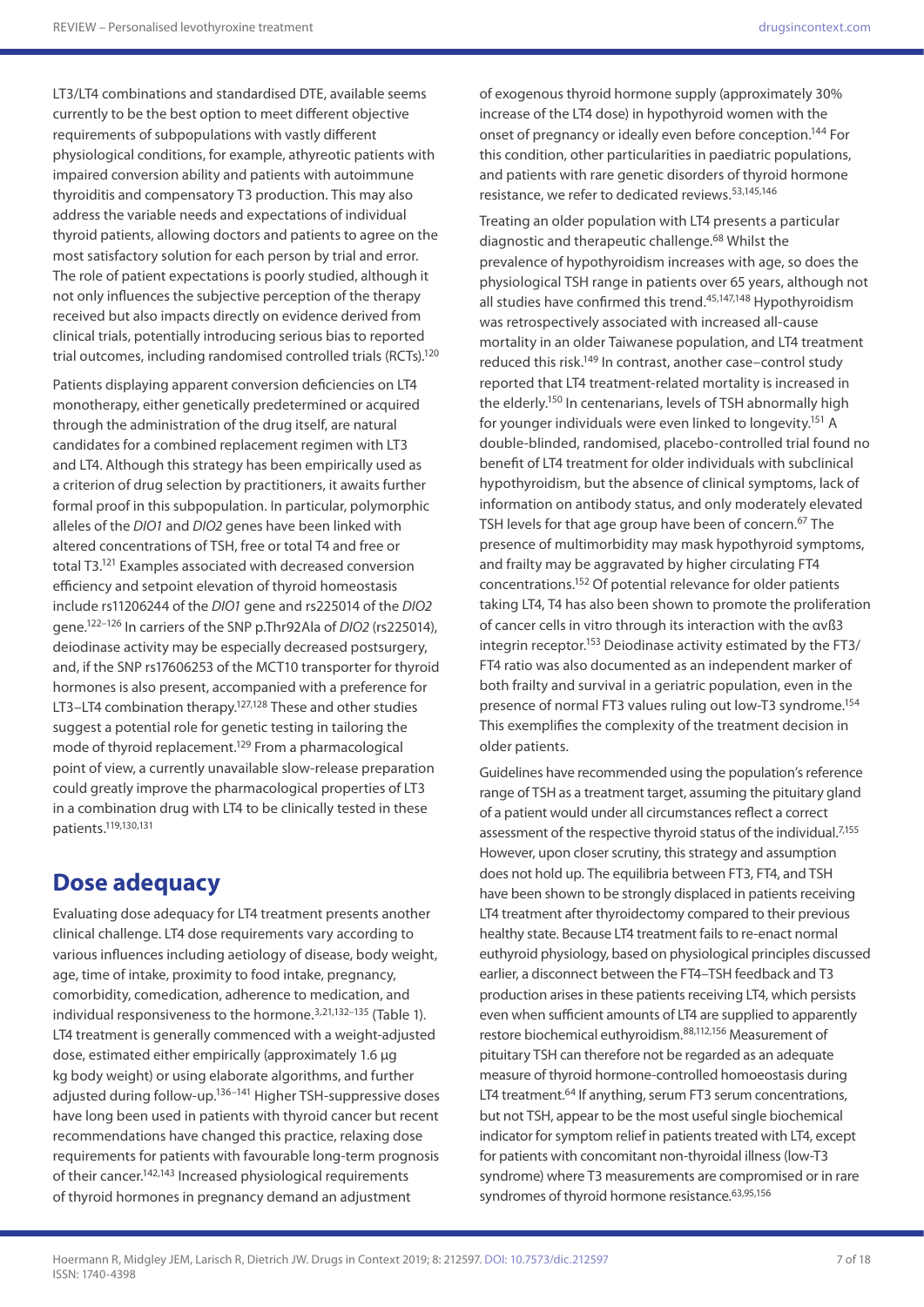LT3/LT4 combinations and standardised DTE, available seems currently to be the best option to meet different objective requirements of subpopulations with vastly different physiological conditions, for example, athyreotic patients with impaired conversion ability and patients with autoimmune thyroiditis and compensatory T3 production. This may also address the variable needs and expectations of individual thyroid patients, allowing doctors and patients to agree on the most satisfactory solution for each person by trial and error. The role of patient expectations is poorly studied, although it not only influences the subjective perception of the therapy received but also impacts directly on evidence derived from clinical trials, potentially introducing serious bias to reported trial outcomes, including randomised controlled trials (RCTs).120

Patients displaying apparent conversion deficiencies on LT4 monotherapy, either genetically predetermined or acquired through the administration of the drug itself, are natural candidates for a combined replacement regimen with LT3 and LT4. Although this strategy has been empirically used as a criterion of drug selection by practitioners, it awaits further formal proof in this subpopulation. In particular, polymorphic alleles of the *DIO1* and *DIO2* genes have been linked with altered concentrations of TSH, free or total T4 and free or total T3.121 Examples associated with decreased conversion efficiency and setpoint elevation of thyroid homeostasis include rs11206244 of the *DIO1* gene and rs225014 of the *DIO2* gene.122–126 In carriers of the SNP p.Thr92Ala of *DIO2* (rs225014), deiodinase activity may be especially decreased postsurgery, and, if the SNP rs17606253 of the MCT10 transporter for thyroid hormones is also present, accompanied with a preference for LT3–LT4 combination therapy.<sup>127,128</sup> These and other studies suggest a potential role for genetic testing in tailoring the mode of thyroid replacement.<sup>129</sup> From a pharmacological point of view, a currently unavailable slow-release preparation could greatly improve the pharmacological properties of LT3 in a combination drug with LT4 to be clinically tested in these patients.119,130,131

## **Dose adequacy**

Evaluating dose adequacy for LT4 treatment presents another clinical challenge. LT4 dose requirements vary according to various influences including aetiology of disease, body weight, age, time of intake, proximity to food intake, pregnancy, comorbidity, comedication, adherence to medication, and individual responsiveness to the hormone.<sup>3,21,132–135</sup> (Table 1). LT4 treatment is generally commenced with a weight-adjusted dose, estimated either empirically (approximately 1.6 µg kg body weight) or using elaborate algorithms, and further adjusted during follow-up.<sup>136-141</sup> Higher TSH-suppressive doses have long been used in patients with thyroid cancer but recent recommendations have changed this practice, relaxing dose requirements for patients with favourable long-term prognosis of their cancer.142,143 Increased physiological requirements of thyroid hormones in pregnancy demand an adjustment

of exogenous thyroid hormone supply (approximately 30% increase of the LT4 dose) in hypothyroid women with the onset of pregnancy or ideally even before conception.144 For this condition, other particularities in paediatric populations, and patients with rare genetic disorders of thyroid hormone resistance, we refer to dedicated reviews.53,145,146

Treating an older population with LT4 presents a particular diagnostic and therapeutic challenge.<sup>68</sup> Whilst the prevalence of hypothyroidism increases with age, so does the physiological TSH range in patients over 65 years, although not all studies have confirmed this trend.<sup>45,147,148</sup> Hypothyroidism was retrospectively associated with increased all-cause mortality in an older Taiwanese population, and LT4 treatment reduced this risk.<sup>149</sup> In contrast, another case–control study reported that LT4 treatment-related mortality is increased in the elderly.<sup>150</sup> In centenarians, levels of TSH abnormally high for younger individuals were even linked to longevity.<sup>151</sup> A double-blinded, randomised, placebo-controlled trial found no benefit of LT4 treatment for older individuals with subclinical hypothyroidism, but the absence of clinical symptoms, lack of information on antibody status, and only moderately elevated TSH levels for that age group have been of concern.<sup>67</sup> The presence of multimorbidity may mask hypothyroid symptoms, and frailty may be aggravated by higher circulating FT4 concentrations.152 Of potential relevance for older patients taking LT4, T4 has also been shown to promote the proliferation of cancer cells in vitro through its interaction with the αvß3 integrin receptor.153 Deiodinase activity estimated by the FT3/ FT4 ratio was also documented as an independent marker of both frailty and survival in a geriatric population, even in the presence of normal FT3 values ruling out low-T3 syndrome.154 This exemplifies the complexity of the treatment decision in older patients.

Guidelines have recommended using the population's reference range of TSH as a treatment target, assuming the pituitary gland of a patient would under all circumstances reflect a correct assessment of the respective thyroid status of the individual.<sup>7,155</sup> However, upon closer scrutiny, this strategy and assumption does not hold up. The equilibria between FT3, FT4, and TSH have been shown to be strongly displaced in patients receiving LT4 treatment after thyroidectomy compared to their previous healthy state. Because LT4 treatment fails to re-enact normal euthyroid physiology, based on physiological principles discussed earlier, a disconnect between the FT4–TSH feedback and T3 production arises in these patients receiving LT4, which persists even when sufficient amounts of LT4 are supplied to apparently restore biochemical euthyroidism.88,112,156 Measurement of pituitary TSH can therefore not be regarded as an adequate measure of thyroid hormone-controlled homoeostasis during LT4 treatment.<sup>64</sup> If anything, serum FT3 serum concentrations, but not TSH, appear to be the most useful single biochemical indicator for symptom relief in patients treated with LT4, except for patients with concomitant non-thyroidal illness (low-T3 syndrome) where T3 measurements are compromised or in rare syndromes of thyroid hormone resistance.<sup>63,95,156</sup>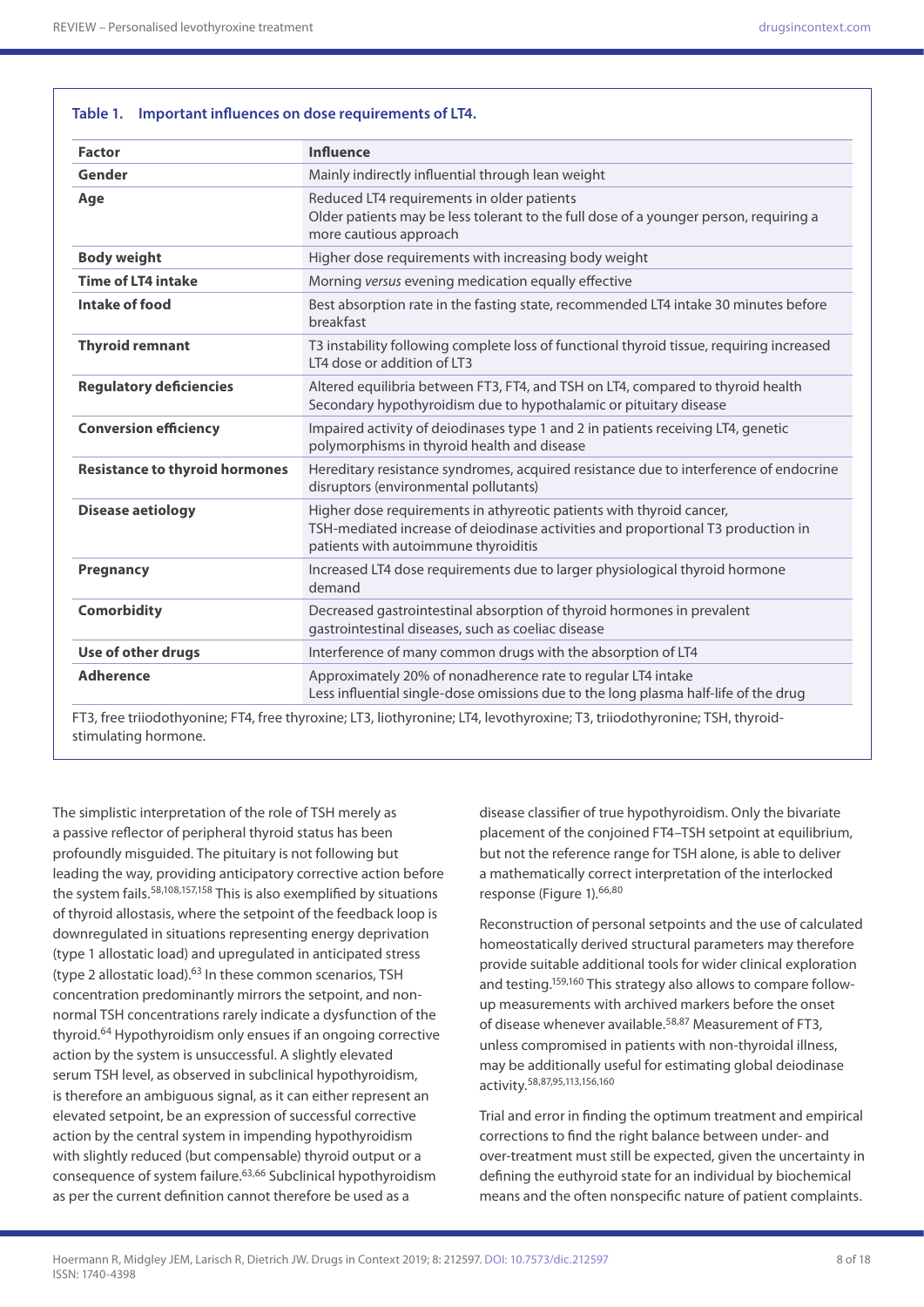**Table 1. Important influences on dose requirements of LT4.**

| <b>Factor</b>                         | <b>Influence</b>                                                                                                                                                                                 |
|---------------------------------------|--------------------------------------------------------------------------------------------------------------------------------------------------------------------------------------------------|
| Gender                                | Mainly indirectly influential through lean weight                                                                                                                                                |
| Age                                   | Reduced LT4 requirements in older patients<br>Older patients may be less tolerant to the full dose of a younger person, requiring a<br>more cautious approach                                    |
| <b>Body weight</b>                    | Higher dose requirements with increasing body weight                                                                                                                                             |
| <b>Time of LT4 intake</b>             | Morning versus evening medication equally effective                                                                                                                                              |
| Intake of food                        | Best absorption rate in the fasting state, recommended LT4 intake 30 minutes before<br>breakfast                                                                                                 |
| <b>Thyroid remnant</b>                | T3 instability following complete loss of functional thyroid tissue, requiring increased<br>LT4 dose or addition of LT3                                                                          |
| <b>Regulatory deficiencies</b>        | Altered equilibria between FT3, FT4, and TSH on LT4, compared to thyroid health<br>Secondary hypothyroidism due to hypothalamic or pituitary disease                                             |
| <b>Conversion efficiency</b>          | Impaired activity of deiodinases type 1 and 2 in patients receiving LT4, genetic<br>polymorphisms in thyroid health and disease                                                                  |
| <b>Resistance to thyroid hormones</b> | Hereditary resistance syndromes, acquired resistance due to interference of endocrine<br>disruptors (environmental pollutants)                                                                   |
| <b>Disease aetiology</b>              | Higher dose requirements in athyreotic patients with thyroid cancer,<br>TSH-mediated increase of deiodinase activities and proportional T3 production in<br>patients with autoimmune thyroiditis |
| Pregnancy                             | Increased LT4 dose requirements due to larger physiological thyroid hormone<br>demand                                                                                                            |
| <b>Comorbidity</b>                    | Decreased gastrointestinal absorption of thyroid hormones in prevalent<br>gastrointestinal diseases, such as coeliac disease                                                                     |
| Use of other drugs                    | Interference of many common drugs with the absorption of LT4                                                                                                                                     |
| <b>Adherence</b>                      | Approximately 20% of nonadherence rate to regular LT4 intake<br>Less influential single-dose omissions due to the long plasma half-life of the drug                                              |

stimulating hormone.

The simplistic interpretation of the role of TSH merely as a passive reflector of peripheral thyroid status has been profoundly misguided. The pituitary is not following but leading the way, providing anticipatory corrective action before the system fails.<sup>58,108,157,158</sup> This is also exemplified by situations of thyroid allostasis, where the setpoint of the feedback loop is downregulated in situations representing energy deprivation (type 1 allostatic load) and upregulated in anticipated stress (type 2 allostatic load). $63$  In these common scenarios, TSH concentration predominantly mirrors the setpoint, and nonnormal TSH concentrations rarely indicate a dysfunction of the thyroid.64 Hypothyroidism only ensues if an ongoing corrective action by the system is unsuccessful. A slightly elevated serum TSH level, as observed in subclinical hypothyroidism, is therefore an ambiguous signal, as it can either represent an elevated setpoint, be an expression of successful corrective action by the central system in impending hypothyroidism with slightly reduced (but compensable) thyroid output or a consequence of system failure.63,66 Subclinical hypothyroidism as per the current definition cannot therefore be used as a

disease classifier of true hypothyroidism. Only the bivariate placement of the conjoined FT4–TSH setpoint at equilibrium, but not the reference range for TSH alone, is able to deliver a mathematically correct interpretation of the interlocked response (Figure 1).66,80

Reconstruction of personal setpoints and the use of calculated homeostatically derived structural parameters may therefore provide suitable additional tools for wider clinical exploration and testing.159,160 This strategy also allows to compare followup measurements with archived markers before the onset of disease whenever available.<sup>58,87</sup> Measurement of FT3, unless compromised in patients with non-thyroidal illness, may be additionally useful for estimating global deiodinase activity.58,87,95,113,156,160

Trial and error in finding the optimum treatment and empirical corrections to find the right balance between under- and over-treatment must still be expected, given the uncertainty in defining the euthyroid state for an individual by biochemical means and the often nonspecific nature of patient complaints.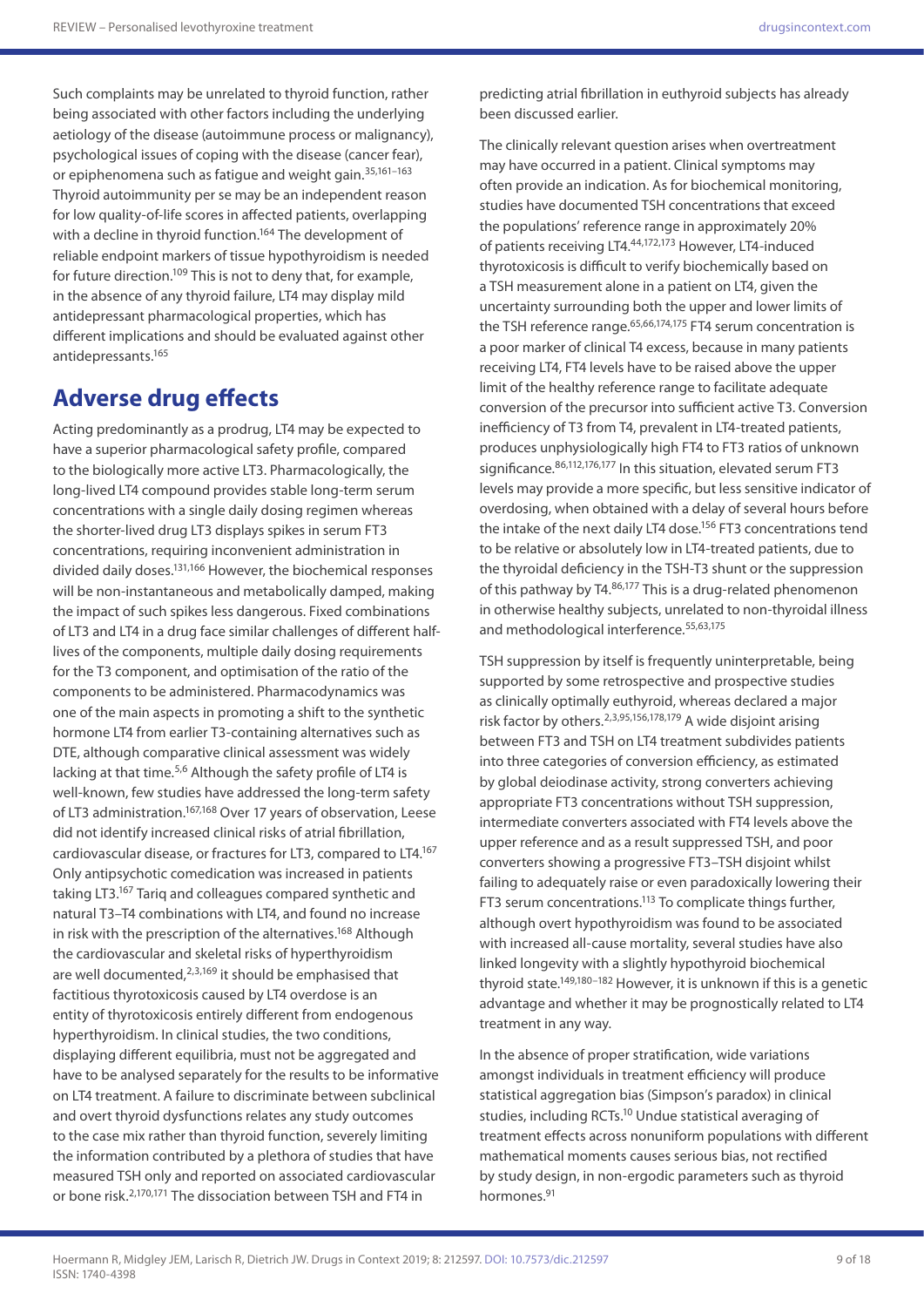Such complaints may be unrelated to thyroid function, rather being associated with other factors including the underlying aetiology of the disease (autoimmune process or malignancy), psychological issues of coping with the disease (cancer fear), or epiphenomena such as fatigue and weight gain.35,161–163 Thyroid autoimmunity per se may be an independent reason for low quality-of-life scores in affected patients, overlapping with a decline in thyroid function.<sup>164</sup> The development of reliable endpoint markers of tissue hypothyroidism is needed for future direction.109 This is not to deny that, for example, in the absence of any thyroid failure, LT4 may display mild antidepressant pharmacological properties, which has different implications and should be evaluated against other antidepressants.165

### **Adverse drug effects**

Acting predominantly as a prodrug, LT4 may be expected to have a superior pharmacological safety profile, compared to the biologically more active LT3. Pharmacologically, the long-lived LT4 compound provides stable long-term serum concentrations with a single daily dosing regimen whereas the shorter-lived drug LT3 displays spikes in serum FT3 concentrations, requiring inconvenient administration in divided daily doses.131,166 However, the biochemical responses will be non-instantaneous and metabolically damped, making the impact of such spikes less dangerous. Fixed combinations of LT3 and LT4 in a drug face similar challenges of different halflives of the components, multiple daily dosing requirements for the T3 component, and optimisation of the ratio of the components to be administered. Pharmacodynamics was one of the main aspects in promoting a shift to the synthetic hormone LT4 from earlier T3-containing alternatives such as DTE, although comparative clinical assessment was widely lacking at that time.<sup>5,6</sup> Although the safety profile of LT4 is well-known, few studies have addressed the long-term safety of LT3 administration.167,168 Over 17 years of observation, Leese did not identify increased clinical risks of atrial fibrillation, cardiovascular disease, or fractures for LT3, compared to LT4.167 Only antipsychotic comedication was increased in patients taking LT3.167 Tariq and colleagues compared synthetic and natural T3–T4 combinations with LT4, and found no increase in risk with the prescription of the alternatives.<sup>168</sup> Although the cardiovascular and skeletal risks of hyperthyroidism are well documented, $2,3,169$  it should be emphasised that factitious thyrotoxicosis caused by LT4 overdose is an entity of thyrotoxicosis entirely different from endogenous hyperthyroidism. In clinical studies, the two conditions, displaying different equilibria, must not be aggregated and have to be analysed separately for the results to be informative on LT4 treatment. A failure to discriminate between subclinical and overt thyroid dysfunctions relates any study outcomes to the case mix rather than thyroid function, severely limiting the information contributed by a plethora of studies that have measured TSH only and reported on associated cardiovascular or bone risk.2,170,171 The dissociation between TSH and FT4 in

predicting atrial fibrillation in euthyroid subjects has already been discussed earlier.

The clinically relevant question arises when overtreatment may have occurred in a patient. Clinical symptoms may often provide an indication. As for biochemical monitoring, studies have documented TSH concentrations that exceed the populations' reference range in approximately 20% of patients receiving LT4.44,172,173 However, LT4-induced thyrotoxicosis is difficult to verify biochemically based on a TSH measurement alone in a patient on LT4, given the uncertainty surrounding both the upper and lower limits of the TSH reference range.<sup>65,66,174,175</sup> FT4 serum concentration is a poor marker of clinical T4 excess, because in many patients receiving LT4, FT4 levels have to be raised above the upper limit of the healthy reference range to facilitate adequate conversion of the precursor into sufficient active T3. Conversion inefficiency of T3 from T4, prevalent in LT4-treated patients, produces unphysiologically high FT4 to FT3 ratios of unknown significance. 86,112,176,177 In this situation, elevated serum FT3 levels may provide a more specific, but less sensitive indicator of overdosing, when obtained with a delay of several hours before the intake of the next daily LT4 dose.<sup>156</sup> FT3 concentrations tend to be relative or absolutely low in LT4-treated patients, due to the thyroidal deficiency in the TSH-T3 shunt or the suppression of this pathway by T4.86,177 This is a drug-related phenomenon in otherwise healthy subjects, unrelated to non-thyroidal illness and methodological interference.<sup>55,63,175</sup>

TSH suppression by itself is frequently uninterpretable, being supported by some retrospective and prospective studies as clinically optimally euthyroid, whereas declared a major risk factor by others.2,3,95,156,178,179 A wide disjoint arising between FT3 and TSH on LT4 treatment subdivides patients into three categories of conversion efficiency, as estimated by global deiodinase activity, strong converters achieving appropriate FT3 concentrations without TSH suppression, intermediate converters associated with FT4 levels above the upper reference and as a result suppressed TSH, and poor converters showing a progressive FT3–TSH disjoint whilst failing to adequately raise or even paradoxically lowering their FT3 serum concentrations.113 To complicate things further, although overt hypothyroidism was found to be associated with increased all-cause mortality, several studies have also linked longevity with a slightly hypothyroid biochemical thyroid state.149,180–182 However, it is unknown if this is a genetic advantage and whether it may be prognostically related to LT4 treatment in any way.

In the absence of proper stratification, wide variations amongst individuals in treatment efficiency will produce statistical aggregation bias (Simpson's paradox) in clinical studies, including RCTs.<sup>10</sup> Undue statistical averaging of treatment effects across nonuniform populations with different mathematical moments causes serious bias, not rectified by study design, in non-ergodic parameters such as thyroid hormones.91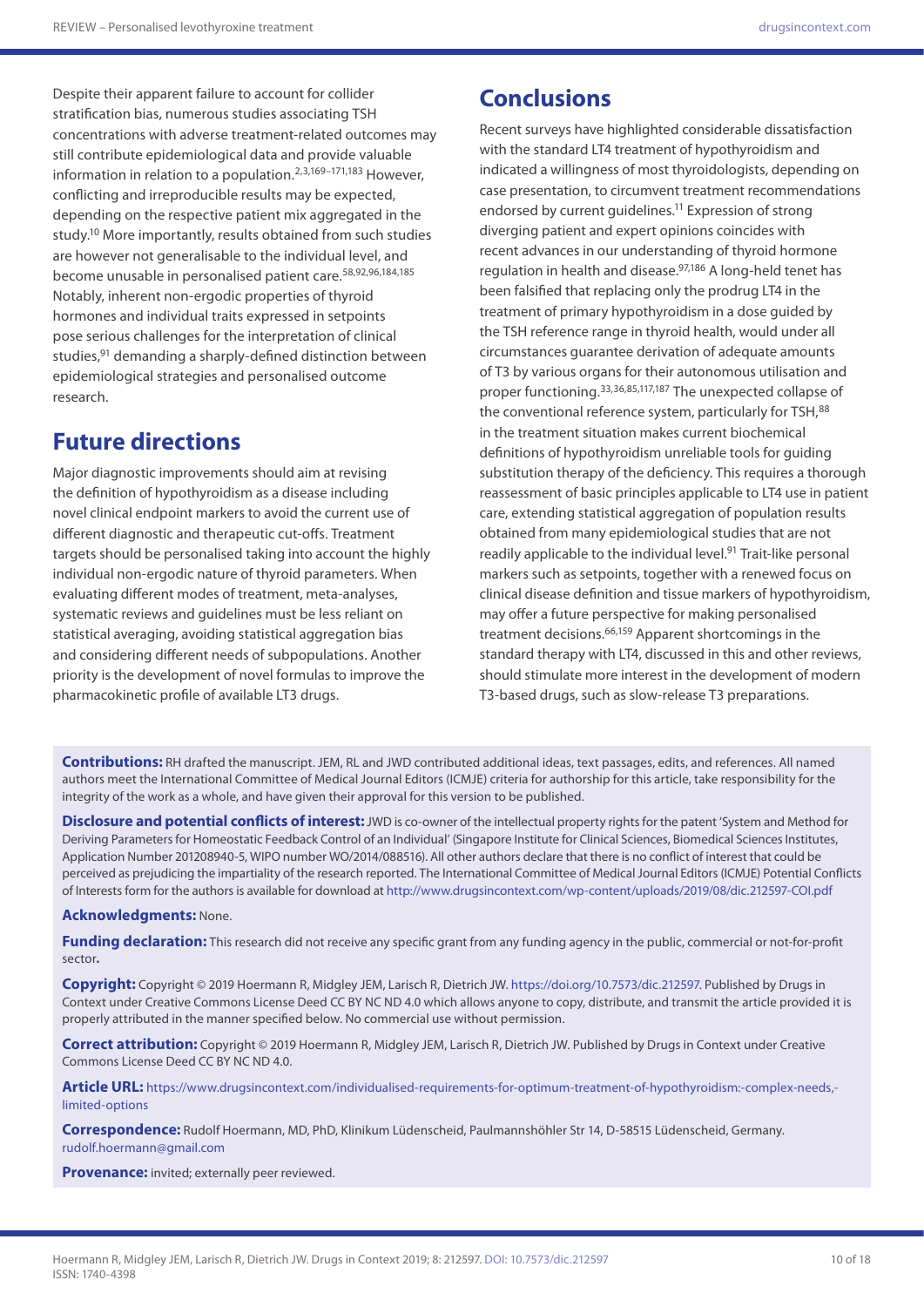Despite their apparent failure to account for collider stratification bias, numerous studies associating TSH concentrations with adverse treatment-related outcomes may still contribute epidemiological data and provide valuable information in relation to a population.<sup>2,3,169-171,183</sup> However. conflicting and irreproducible results may be expected, depending on the respective patient mix aggregated in the study.10 More importantly, results obtained from such studies are however not generalisable to the individual level, and become unusable in personalised patient care.58,92,96,184,185 Notably, inherent non-ergodic properties of thyroid hormones and individual traits expressed in setpoints pose serious challenges for the interpretation of clinical studies,<sup>91</sup> demanding a sharply-defined distinction between epidemiological strategies and personalised outcome research.

## **Future directions**

Major diagnostic improvements should aim at revising the definition of hypothyroidism as a disease including novel clinical endpoint markers to avoid the current use of different diagnostic and therapeutic cut-offs. Treatment targets should be personalised taking into account the highly individual non-ergodic nature of thyroid parameters. When evaluating different modes of treatment, meta-analyses, systematic reviews and guidelines must be less reliant on statistical averaging, avoiding statistical aggregation bias and considering different needs of subpopulations. Another priority is the development of novel formulas to improve the pharmacokinetic profile of available LT3 drugs.

## **Conclusions**

Recent surveys have highlighted considerable dissatisfaction with the standard LT4 treatment of hypothyroidism and indicated a willingness of most thyroidologists, depending on case presentation, to circumvent treatment recommendations endorsed by current guidelines.<sup>11</sup> Expression of strong diverging patient and expert opinions coincides with recent advances in our understanding of thyroid hormone regulation in health and disease.97,186 A long-held tenet has been falsified that replacing only the prodrug LT4 in the treatment of primary hypothyroidism in a dose guided by the TSH reference range in thyroid health, would under all circumstances guarantee derivation of adequate amounts of T3 by various organs for their autonomous utilisation and proper functioning.<sup>33,36,85,117,187</sup> The unexpected collapse of the conventional reference system, particularly for TSH, 88 in the treatment situation makes current biochemical definitions of hypothyroidism unreliable tools for guiding substitution therapy of the deficiency. This requires a thorough reassessment of basic principles applicable to LT4 use in patient care, extending statistical aggregation of population results obtained from many epidemiological studies that are not readily applicable to the individual level.<sup>91</sup> Trait-like personal markers such as setpoints, together with a renewed focus on clinical disease definition and tissue markers of hypothyroidism, may offer a future perspective for making personalised treatment decisions.<sup>66,159</sup> Apparent shortcomings in the standard therapy with LT4, discussed in this and other reviews, should stimulate more interest in the development of modern T3-based drugs, such as slow-release T3 preparations.

**Contributions:** RH drafted the manuscript. JEM, RL and JWD contributed additional ideas, text passages, edits, and references. All named authors meet the International Committee of Medical Journal Editors (ICMJE) criteria for authorship for this article, take responsibility for the integrity of the work as a whole, and have given their approval for this version to be published.

**Disclosure and potential conflicts of interest:**JWD is co-owner of the intellectual property rights for the patent 'System and Method for Deriving Parameters for Homeostatic Feedback Control of an Individual' (Singapore Institute for Clinical Sciences, Biomedical Sciences Institutes, Application Number 201208940-5, WIPO number WO/2014/088516). All other authors declare that there is no conflict of interest that could be perceived as prejudicing the impartiality of the research reported. The International Committee of Medical Journal Editors (ICMJE) Potential Conflicts of Interests form for the authors is available for download at<http://www.drugsincontext.com/wp-content/uploads/2019/08/dic.212597-COI.pdf>

#### **Acknowledgments:** None.

Funding declaration: This research did not receive any specific grant from any funding agency in the public, commercial or not-for-profit sector**.**

**Copyright:** Copyright © 2019 Hoermann R, Midgley JEM, Larisch R, Dietrich JW. [https://doi.org/10.7573/dic.212597.](https://doi.org/10.7573/dic.212597) Published by Drugs in Context under Creative Commons License Deed CC BY NC ND 4.0 which allows anyone to copy, distribute, and transmit the article provided it is properly attributed in the manner specified below. No commercial use without permission.

**Correct attribution:** Copyright © 2019 Hoermann R, Midgley JEM, Larisch R, Dietrich JW. Published by Drugs in Context under Creative Commons License Deed CC BY NC ND 4.0.

**Article URL:** [https://www.drugsincontext.com/individualised-requirements-for-optimum-treatment-of-hypothyroidism:-complex-needs,](https://www.drugsincontext.com/individualised-requirements-for-optimum-treatment-of-hypothyroidism:-complex-needs,-limited-options) [limited-options](https://www.drugsincontext.com/individualised-requirements-for-optimum-treatment-of-hypothyroidism:-complex-needs,-limited-options)

**Correspondence:** Rudolf Hoermann, MD, PhD, Klinikum Lüdenscheid, Paulmannshöhler Str 14, D-58515 Lüdenscheid, Germany. [rudolf.hoermann@gmail.com](mailto:rudolf.hoermann@gmail.com)

**Provenance:** invited; externally peer reviewed.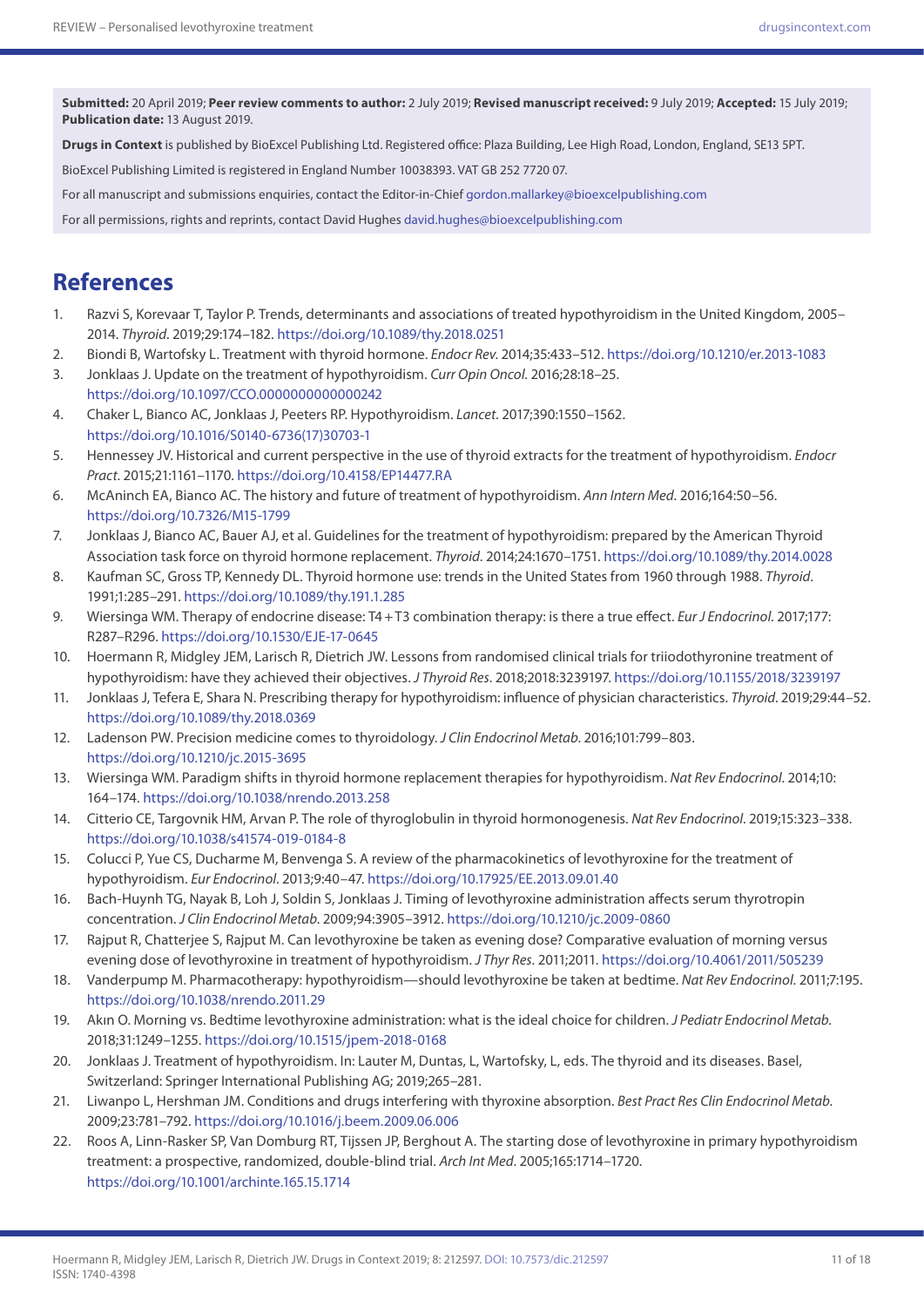**Submitted:** 20 April 2019; **Peer review comments to author:** 2 July 2019; **Revised manuscript received:** 9 July 2019; **Accepted:** 15 July 2019; **Publication date:** 13 August 2019.

**Drugs in Context** is published by BioExcel Publishing Ltd. Registered office: Plaza Building, Lee High Road, London, England, SE13 5PT.

BioExcel Publishing Limited is registered in England Number 10038393. VAT GB 252 7720 07.

For all manuscript and submissions enquiries, contact the Editor-in-Chief [gordon.mallarkey@bioexcelpublishing.com](mailto:gordon.mallarkey@bioexcelpublishing.com)

For all permissions, rights and reprints, contact David Hughes [david.hughes@bioexcelpublishing.com](mailto:david.hughes@bioexcelpublishing.com)

### **References**

- 1. Razvi S, Korevaar T, Taylor P. Trends, determinants and associations of treated hypothyroidism in the United Kingdom, 2005– 2014. *Thyroid*. 2019;29:174–182. <https://doi.org/10.1089/thy.2018.0251>
- 2. Biondi B, Wartofsky L. Treatment with thyroid hormone. *Endocr Rev*. 2014;35:433–512.<https://doi.org/10.1210/er.2013-1083>
- 3. Jonklaas J. Update on the treatment of hypothyroidism. *Curr Opin Oncol*. 2016;28:18–25. <https://doi.org/10.1097/CCO.0000000000000242>
- 4. Chaker L, Bianco AC, Jonklaas J, Peeters RP. Hypothyroidism. *Lancet*. 2017;390:1550–1562. [https://doi.org/10.1016/S0140-6736\(17\)30703-1](https://doi.org/10.1016/S0140-6736(17)30703-1)
- 5. Hennessey JV. Historical and current perspective in the use of thyroid extracts for the treatment of hypothyroidism. *Endocr Pract*. 2015;21:1161–1170. <https://doi.org/10.4158/EP14477.RA>
- 6. McAninch EA, Bianco AC. The history and future of treatment of hypothyroidism. *Ann Intern Med*. 2016;164:50–56. <https://doi.org/10.7326/M15-1799>
- 7. Jonklaas J, Bianco AC, Bauer AJ, et al. Guidelines for the treatment of hypothyroidism: prepared by the American Thyroid Association task force on thyroid hormone replacement. *Thyroid*. 2014;24:1670–1751.<https://doi.org/10.1089/thy.2014.0028>
- 8. Kaufman SC, Gross TP, Kennedy DL. Thyroid hormone use: trends in the United States from 1960 through 1988. *Thyroid*. 1991;1:285–291. <https://doi.org/10.1089/thy.191.1.285>
- 9. Wiersinga WM. Therapy of endocrine disease: T4+T3 combination therapy: is there a true effect. *Eur J Endocrinol*. 2017;177: R287–R296.<https://doi.org/10.1530/EJE-17-0645>
- 10. Hoermann R, Midgley JEM, Larisch R, Dietrich JW. Lessons from randomised clinical trials for triiodothyronine treatment of hypothyroidism: have they achieved their objectives. *J Thyroid Res*. 2018;2018:3239197. <https://doi.org/10.1155/2018/3239197>
- 11. Jonklaas J, Tefera E, Shara N. Prescribing therapy for hypothyroidism: influence of physician characteristics. *Thyroid*. 2019;29:44–52. <https://doi.org/10.1089/thy.2018.0369>
- 12. Ladenson PW. Precision medicine comes to thyroidology. *J Clin Endocrinol Metab*. 2016;101:799–803. <https://doi.org/10.1210/jc.2015-3695>
- 13. Wiersinga WM. Paradigm shifts in thyroid hormone replacement therapies for hypothyroidism. *Nat Rev Endocrinol*. 2014;10: 164–174.<https://doi.org/10.1038/nrendo.2013.258>
- 14. Citterio CE, Targovnik HM, Arvan P. The role of thyroglobulin in thyroid hormonogenesis. *Nat Rev Endocrinol*. 2019;15:323–338. <https://doi.org/10.1038/s41574-019-0184-8>
- 15. Colucci P, Yue CS, Ducharme M, Benvenga S. A review of the pharmacokinetics of levothyroxine for the treatment of hypothyroidism. *Eur Endocrinol*. 2013;9:40–47. <https://doi.org/10.17925/EE.2013.09.01.40>
- 16. Bach-Huynh TG, Nayak B, Loh J, Soldin S, Jonklaas J. Timing of levothyroxine administration affects serum thyrotropin concentration. *J Clin Endocrinol Metab*. 2009;94:3905–3912.<https://doi.org/10.1210/jc.2009-0860>
- 17. Rajput R, Chatterjee S, Rajput M. Can levothyroxine be taken as evening dose? Comparative evaluation of morning versus evening dose of levothyroxine in treatment of hypothyroidism. *J Thyr Res*. 2011;2011. <https://doi.org/10.4061/2011/505239>
- 18. Vanderpump M. Pharmacotherapy: hypothyroidism—should levothyroxine be taken at bedtime. *Nat Rev Endocrinol*. 2011;7:195. <https://doi.org/10.1038/nrendo.2011.29>
- 19. Akın O. Morning vs. Bedtime levothyroxine administration: what is the ideal choice for children. *J Pediatr Endocrinol Metab*. 2018;31:1249–1255. <https://doi.org/10.1515/jpem-2018-0168>
- 20. Jonklaas J. Treatment of hypothyroidism. In: Lauter M, Duntas, L, Wartofsky, L, eds. The thyroid and its diseases. Basel, Switzerland: Springer International Publishing AG; 2019;265–281.
- 21. Liwanpo L, Hershman JM. Conditions and drugs interfering with thyroxine absorption. *Best Pract Res Clin Endocrinol Metab*. 2009;23:781–792.<https://doi.org/10.1016/j.beem.2009.06.006>
- 22. Roos A, Linn-Rasker SP, Van Domburg RT, Tijssen JP, Berghout A. The starting dose of levothyroxine in primary hypothyroidism treatment: a prospective, randomized, double-blind trial. *Arch Int Med*. 2005;165:1714–1720. <https://doi.org/10.1001/archinte.165.15.1714>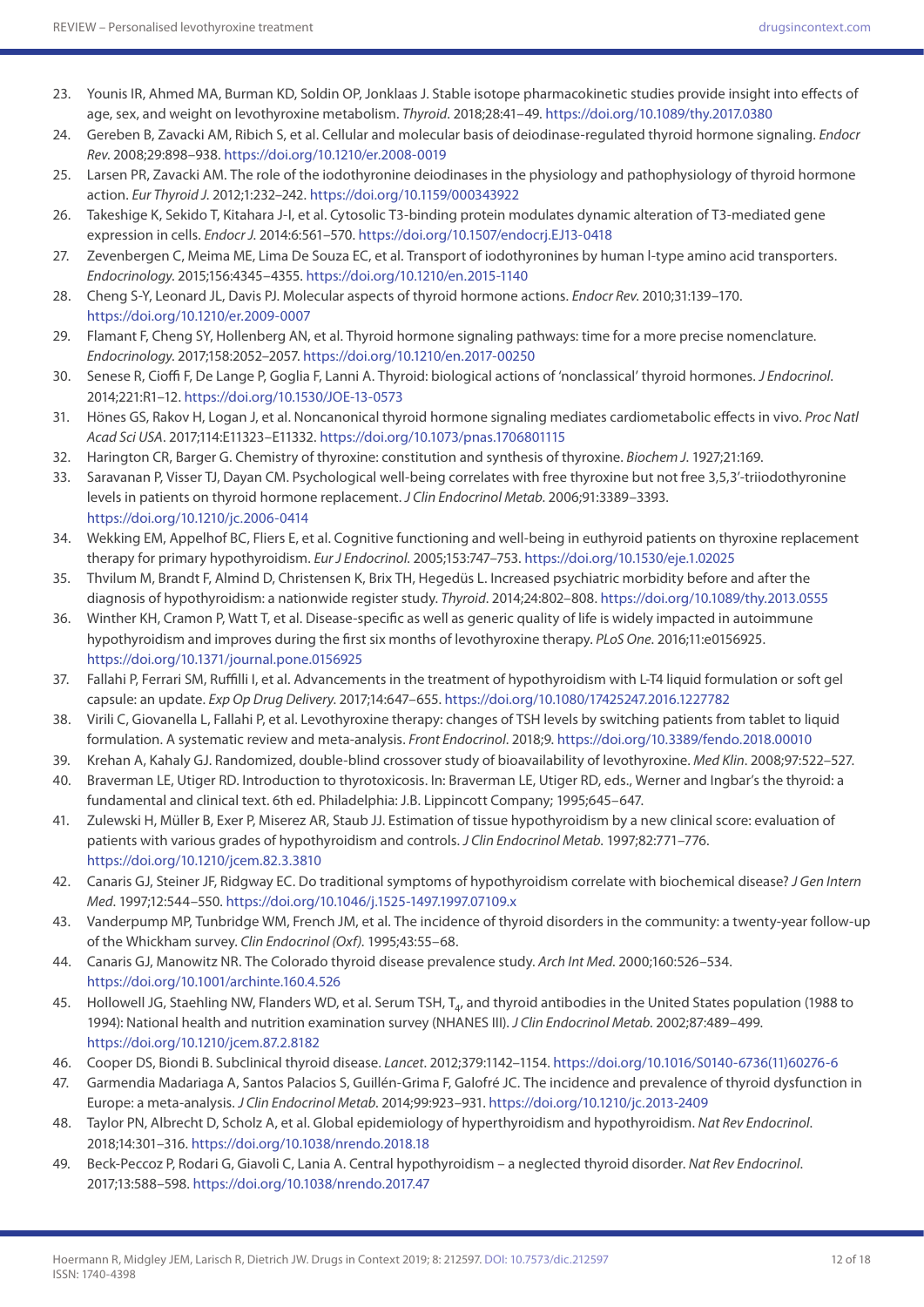- 23. Younis IR, Ahmed MA, Burman KD, Soldin OP, Jonklaas J. Stable isotope pharmacokinetic studies provide insight into effects of age, sex, and weight on levothyroxine metabolism. *Thyroid*. 2018;28:41–49.<https://doi.org/10.1089/thy.2017.0380>
- 24. Gereben B, Zavacki AM, Ribich S, et al. Cellular and molecular basis of deiodinase-regulated thyroid hormone signaling. *Endocr Rev*. 2008;29:898–938.<https://doi.org/10.1210/er.2008-0019>
- 25. Larsen PR, Zavacki AM. The role of the iodothyronine deiodinases in the physiology and pathophysiology of thyroid hormone action. *Eur Thyroid J*. 2012;1:232–242. <https://doi.org/10.1159/000343922>
- 26. Takeshige K, Sekido T, Kitahara J-I, et al. Cytosolic T3-binding protein modulates dynamic alteration of T3-mediated gene expression in cells. *Endocr J*. 2014:6:561–570.<https://doi.org/10.1507/endocrj.EJ13-0418>
- 27. Zevenbergen C, Meima ME, Lima De Souza EC, et al. Transport of iodothyronines by human l-type amino acid transporters. *Endocrinology*. 2015;156:4345–4355.<https://doi.org/10.1210/en.2015-1140>
- 28. Cheng S-Y, Leonard JL, Davis PJ. Molecular aspects of thyroid hormone actions. *Endocr Rev*. 2010;31:139–170. <https://doi.org/10.1210/er.2009-0007>
- 29. Flamant F, Cheng SY, Hollenberg AN, et al. Thyroid hormone signaling pathways: time for a more precise nomenclature. *Endocrinology*. 2017;158:2052–2057.<https://doi.org/10.1210/en.2017-00250>
- 30. Senese R, Cioffi F, De Lange P, Goglia F, Lanni A. Thyroid: biological actions of 'nonclassical' thyroid hormones. *J Endocrinol*. 2014;221:R1–12. <https://doi.org/10.1530/JOE-13-0573>
- 31. Hönes GS, Rakov H, Logan J, et al. Noncanonical thyroid hormone signaling mediates cardiometabolic effects in vivo. *Proc Natl Acad Sci USA*. 2017;114:E11323–E11332.<https://doi.org/10.1073/pnas.1706801115>
- 32. Harington CR, Barger G. Chemistry of thyroxine: constitution and synthesis of thyroxine. *Biochem J*. 1927;21:169.
- 33. Saravanan P, Visser TJ, Dayan CM. Psychological well-being correlates with free thyroxine but not free 3,5,3'-triiodothyronine levels in patients on thyroid hormone replacement. *J Clin Endocrinol Metab*. 2006;91:3389–3393. <https://doi.org/10.1210/jc.2006-0414>
- 34. Wekking EM, Appelhof BC, Fliers E, et al. Cognitive functioning and well-being in euthyroid patients on thyroxine replacement therapy for primary hypothyroidism. *Eur J Endocrinol*. 2005;153:747–753.<https://doi.org/10.1530/eje.1.02025>
- 35. Thvilum M, Brandt F, Almind D, Christensen K, Brix TH, Hegedüs L. Increased psychiatric morbidity before and after the diagnosis of hypothyroidism: a nationwide register study. *Thyroid*. 2014;24:802–808.<https://doi.org/10.1089/thy.2013.0555>
- 36. Winther KH, Cramon P, Watt T, et al. Disease-specific as well as generic quality of life is widely impacted in autoimmune hypothyroidism and improves during the first six months of levothyroxine therapy. *PLoS One*. 2016;11:e0156925. <https://doi.org/10.1371/journal.pone.0156925>
- 37. Fallahi P, Ferrari SM, Ruffilli I, et al. Advancements in the treatment of hypothyroidism with L-T4 liquid formulation or soft gel capsule: an update. *Exp Op Drug Delivery*. 2017;14:647–655. <https://doi.org/10.1080/17425247.2016.1227782>
- 38. Virili C, Giovanella L, Fallahi P, et al. Levothyroxine therapy: changes of TSH levels by switching patients from tablet to liquid formulation. A systematic review and meta-analysis. *Front Endocrinol*. 2018;9.<https://doi.org/10.3389/fendo.2018.00010>
- 39. Krehan A, Kahaly GJ. Randomized, double-blind crossover study of bioavailability of levothyroxine. *Med Klin*. 2008;97:522–527.
- 40. Braverman LE, Utiger RD. Introduction to thyrotoxicosis. In: Braverman LE, Utiger RD, eds., Werner and Ingbar's the thyroid: a fundamental and clinical text. 6th ed. Philadelphia: J.B. Lippincott Company; 1995;645–647.
- 41. Zulewski H, Müller B, Exer P, Miserez AR, Staub JJ. Estimation of tissue hypothyroidism by a new clinical score: evaluation of patients with various grades of hypothyroidism and controls. *J Clin Endocrinol Metab*. 1997;82:771–776. <https://doi.org/10.1210/jcem.82.3.3810>
- 42. Canaris GJ, Steiner JF, Ridgway EC. Do traditional symptoms of hypothyroidism correlate with biochemical disease? *J Gen Intern Med*. 1997;12:544–550. <https://doi.org/10.1046/j.1525-1497.1997.07109.x>
- 43. Vanderpump MP, Tunbridge WM, French JM, et al. The incidence of thyroid disorders in the community: a twenty-year follow-up of the Whickham survey. *Clin Endocrinol (Oxf)*. 1995;43:55–68.
- 44. Canaris GJ, Manowitz NR. The Colorado thyroid disease prevalence study. *Arch Int Med*. 2000;160:526–534. <https://doi.org/10.1001/archinte.160.4.526>
- 45. Hollowell JG, Staehling NW, Flanders WD, et al. Serum TSH, T<sub>4</sub>, and thyroid antibodies in the United States population (1988 to 1994): National health and nutrition examination survey (NHANES III). *J Clin Endocrinol Metab*. 2002;87:489–499. <https://doi.org/10.1210/jcem.87.2.8182>
- 46. Cooper DS, Biondi B. Subclinical thyroid disease. *Lancet*. 2012;379:1142–1154. [https://doi.org/10.1016/S0140-6736\(11\)60276-6](https://doi.org/10.1016/S0140-6736(11)60276-6)
- 47. Garmendia Madariaga A, Santos Palacios S, Guillén-Grima F, Galofré JC. The incidence and prevalence of thyroid dysfunction in Europe: a meta-analysis. *J Clin Endocrinol Metab*. 2014;99:923–931.<https://doi.org/10.1210/jc.2013-2409>
- 48. Taylor PN, Albrecht D, Scholz A, et al. Global epidemiology of hyperthyroidism and hypothyroidism. *Nat Rev Endocrinol*. 2018;14:301–316.<https://doi.org/10.1038/nrendo.2018.18>
- 49. Beck-Peccoz P, Rodari G, Giavoli C, Lania A. Central hypothyroidism a neglected thyroid disorder. *Nat Rev Endocrinol*. 2017;13:588–598.<https://doi.org/10.1038/nrendo.2017.47>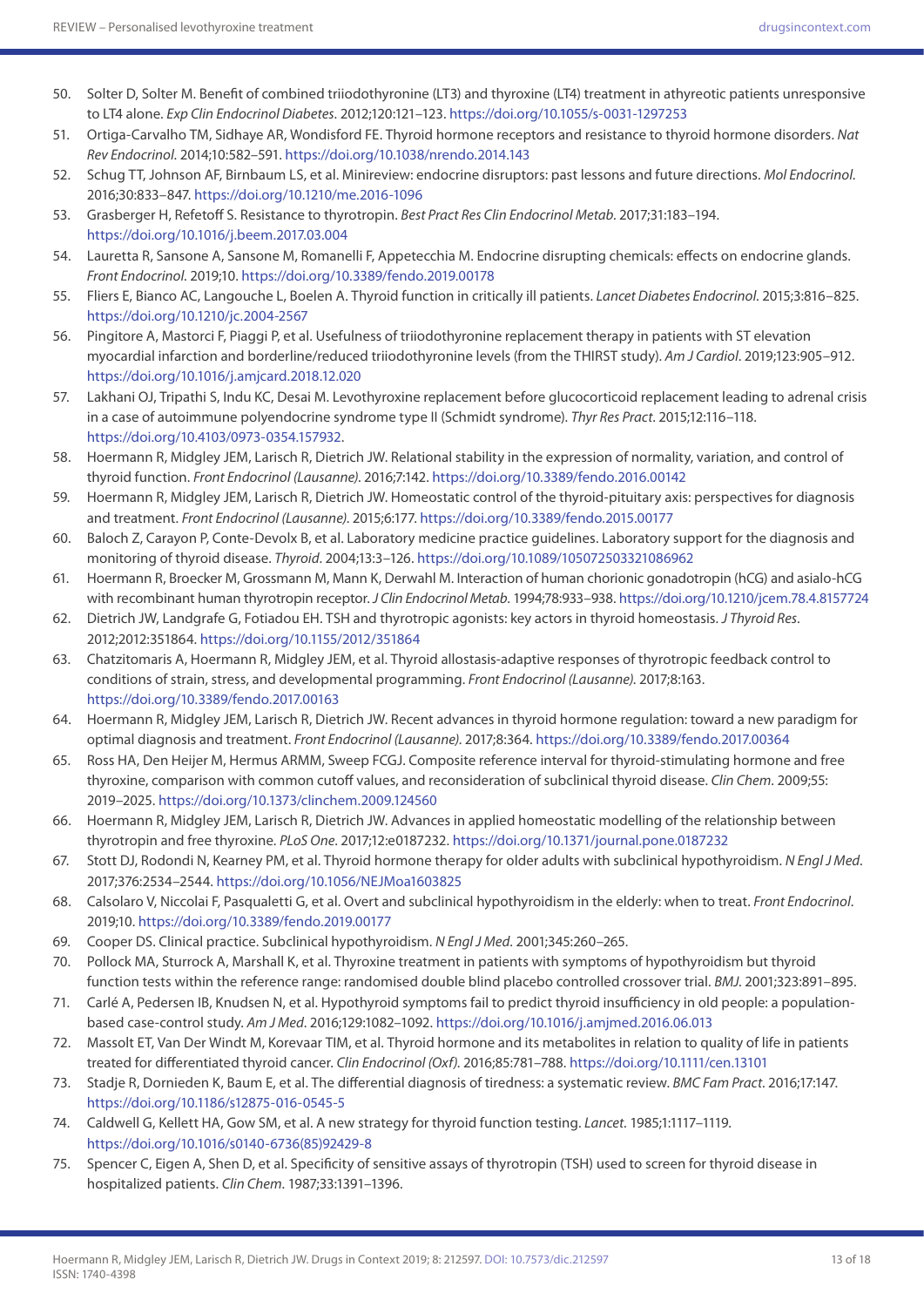- 50. Solter D, Solter M. Benefit of combined triiodothyronine (LT3) and thyroxine (LT4) treatment in athyreotic patients unresponsive to LT4 alone. *Exp Clin Endocrinol Diabetes*. 2012;120:121–123. <https://doi.org/10.1055/s-0031-1297253>
- 51. Ortiga-Carvalho TM, Sidhaye AR, Wondisford FE. Thyroid hormone receptors and resistance to thyroid hormone disorders. *Nat Rev Endocrinol*. 2014;10:582–591. <https://doi.org/10.1038/nrendo.2014.143>
- 52. Schug TT, Johnson AF, Birnbaum LS, et al. Minireview: endocrine disruptors: past lessons and future directions. *Mol Endocrinol*. 2016;30:833–847.<https://doi.org/10.1210/me.2016-1096>
- 53. Grasberger H, Refetoff S. Resistance to thyrotropin. *Best Pract Res Clin Endocrinol Metab*. 2017;31:183–194. <https://doi.org/10.1016/j.beem.2017.03.004>
- 54. Lauretta R, Sansone A, Sansone M, Romanelli F, Appetecchia M. Endocrine disrupting chemicals: effects on endocrine glands. *Front Endocrinol*. 2019;10. <https://doi.org/10.3389/fendo.2019.00178>
- 55. Fliers E, Bianco AC, Langouche L, Boelen A. Thyroid function in critically ill patients. *Lancet Diabetes Endocrinol*. 2015;3:816–825. <https://doi.org/10.1210/jc.2004-2567>
- 56. Pingitore A, Mastorci F, Piaggi P, et al. Usefulness of triiodothyronine replacement therapy in patients with ST elevation myocardial infarction and borderline/reduced triiodothyronine levels (from the THIRST study). *Am J Cardiol*. 2019;123:905–912. <https://doi.org/10.1016/j.amjcard.2018.12.020>
- 57. Lakhani OJ, Tripathi S, Indu KC, Desai M. Levothyroxine replacement before glucocorticoid replacement leading to adrenal crisis in a case of autoimmune polyendocrine syndrome type II (Schmidt syndrome). *Thyr Res Pract*. 2015;12:116–118. [https://doi.org/10.4103/0973-0354.157932.](https://doi.org/10.4103/0973-0354.157932)
- 58. Hoermann R, Midgley JEM, Larisch R, Dietrich JW. Relational stability in the expression of normality, variation, and control of thyroid function. *Front Endocrinol (Lausanne)*. 2016;7:142. <https://doi.org/10.3389/fendo.2016.00142>
- 59. Hoermann R, Midgley JEM, Larisch R, Dietrich JW. Homeostatic control of the thyroid-pituitary axis: perspectives for diagnosis and treatment. *Front Endocrinol (Lausanne)*. 2015;6:177. <https://doi.org/10.3389/fendo.2015.00177>
- 60. Baloch Z, Carayon P, Conte-Devolx B, et al. Laboratory medicine practice guidelines. Laboratory support for the diagnosis and monitoring of thyroid disease. *Thyroid*. 2004;13:3–126. <https://doi.org/10.1089/105072503321086962>
- 61. Hoermann R, Broecker M, Grossmann M, Mann K, Derwahl M. Interaction of human chorionic gonadotropin (hCG) and asialo-hCG with recombinant human thyrotropin receptor. *J Clin Endocrinol Metab*. 1994;78:933–938.<https://doi.org/10.1210/jcem.78.4.8157724>
- 62. Dietrich JW, Landgrafe G, Fotiadou EH. TSH and thyrotropic agonists: key actors in thyroid homeostasis. *J Thyroid Res*. 2012;2012:351864. <https://doi.org/10.1155/2012/351864>
- 63. Chatzitomaris A, Hoermann R, Midgley JEM, et al. Thyroid allostasis-adaptive responses of thyrotropic feedback control to conditions of strain, stress, and developmental programming. *Front Endocrinol (Lausanne)*. 2017;8:163. <https://doi.org/10.3389/fendo.2017.00163>
- 64. Hoermann R, Midgley JEM, Larisch R, Dietrich JW. Recent advances in thyroid hormone regulation: toward a new paradigm for optimal diagnosis and treatment. *Front Endocrinol (Lausanne)*. 2017;8:364.<https://doi.org/10.3389/fendo.2017.00364>
- 65. Ross HA, Den Heijer M, Hermus ARMM, Sweep FCGJ. Composite reference interval for thyroid-stimulating hormone and free thyroxine, comparison with common cutoff values, and reconsideration of subclinical thyroid disease. *Clin Chem*. 2009;55: 2019–2025.<https://doi.org/10.1373/clinchem.2009.124560>
- 66. Hoermann R, Midgley JEM, Larisch R, Dietrich JW. Advances in applied homeostatic modelling of the relationship between thyrotropin and free thyroxine. *PLoS One*. 2017;12:e0187232. <https://doi.org/10.1371/journal.pone.0187232>
- 67. Stott DJ, Rodondi N, Kearney PM, et al. Thyroid hormone therapy for older adults with subclinical hypothyroidism. *N Engl J Med*. 2017;376:2534–2544. <https://doi.org/10.1056/NEJMoa1603825>
- 68. Calsolaro V, Niccolai F, Pasqualetti G, et al. Overt and subclinical hypothyroidism in the elderly: when to treat. *Front Endocrinol*. 2019;10.<https://doi.org/10.3389/fendo.2019.00177>
- 69. Cooper DS. Clinical practice. Subclinical hypothyroidism. *N Engl J Med*. 2001;345:260–265.
- 70. Pollock MA, Sturrock A, Marshall K, et al. Thyroxine treatment in patients with symptoms of hypothyroidism but thyroid function tests within the reference range: randomised double blind placebo controlled crossover trial. *BMJ*. 2001;323:891–895.
- 71. Carlé A, Pedersen IB, Knudsen N, et al. Hypothyroid symptoms fail to predict thyroid insufficiency in old people: a populationbased case-control study. *Am J Med*. 2016;129:1082–1092.<https://doi.org/10.1016/j.amjmed.2016.06.013>
- 72. Massolt ET, Van Der Windt M, Korevaar TIM, et al. Thyroid hormone and its metabolites in relation to quality of life in patients treated for differentiated thyroid cancer. *Clin Endocrinol (Oxf)*. 2016;85:781–788.<https://doi.org/10.1111/cen.13101>
- 73. Stadje R, Dornieden K, Baum E, et al. The differential diagnosis of tiredness: a systematic review. *BMC Fam Pract*. 2016;17:147. <https://doi.org/10.1186/s12875-016-0545-5>
- 74. Caldwell G, Kellett HA, Gow SM, et al. A new strategy for thyroid function testing. *Lancet*. 1985;1:1117–1119. [https://doi.org/10.1016/s0140-6736\(85\)92429-8](https://doi.org/10.1016/s0140-6736(85)92429-8)
- 75. Spencer C, Eigen A, Shen D, et al. Specificity of sensitive assays of thyrotropin (TSH) used to screen for thyroid disease in hospitalized patients. *Clin Chem*. 1987;33:1391–1396.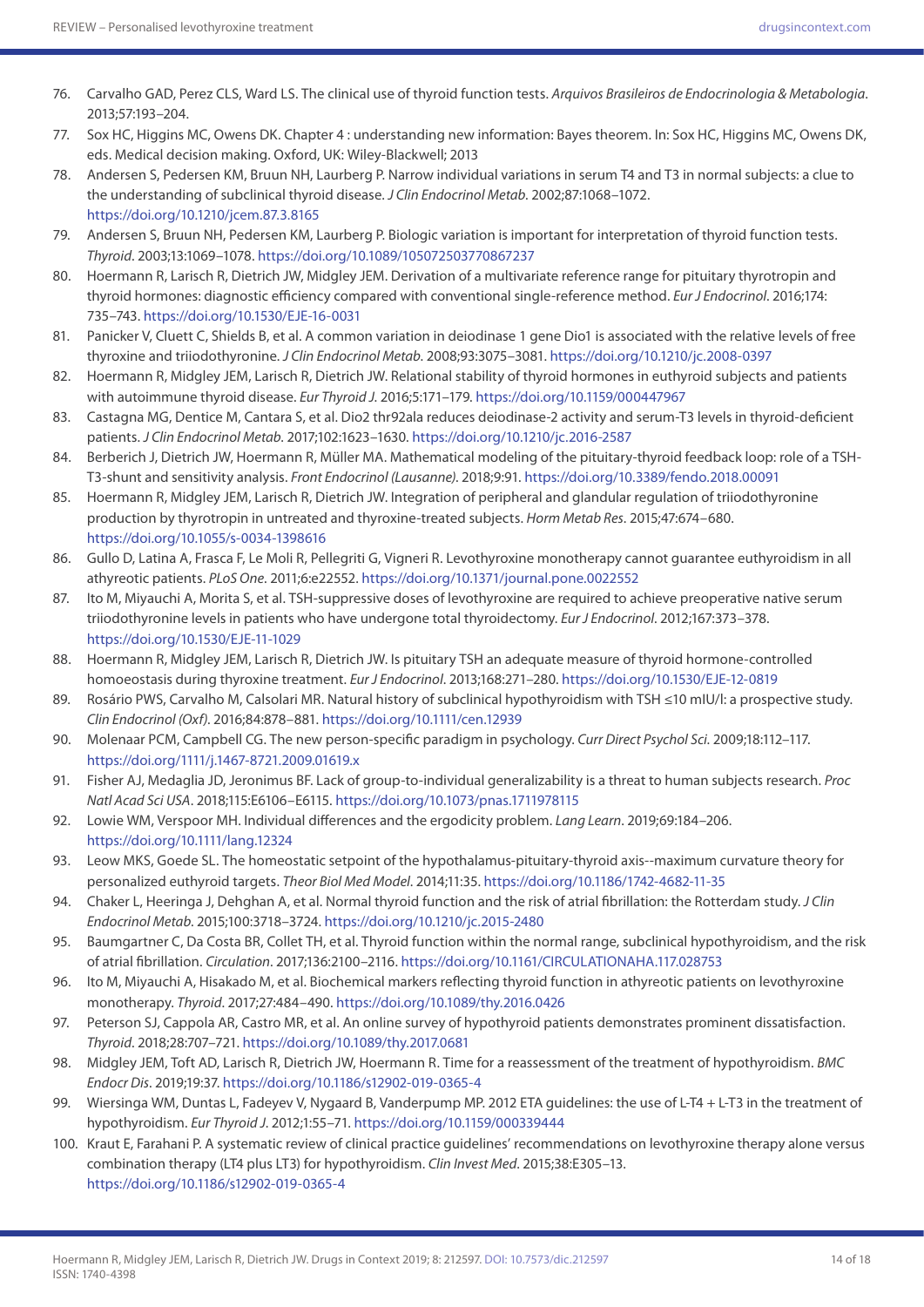- 76. Carvalho GAD, Perez CLS, Ward LS. The clinical use of thyroid function tests. *Arquivos Brasileiros de Endocrinologia & Metabologia*. 2013;57:193–204.
- 77. Sox HC, Higgins MC, Owens DK. Chapter 4 : understanding new information: Bayes theorem. In: Sox HC, Higgins MC, Owens DK, eds. Medical decision making. Oxford, UK: Wiley-Blackwell; 2013
- 78. Andersen S, Pedersen KM, Bruun NH, Laurberg P. Narrow individual variations in serum T4 and T3 in normal subjects: a clue to the understanding of subclinical thyroid disease. *J Clin Endocrinol Metab*. 2002;87:1068–1072. <https://doi.org/10.1210/jcem.87.3.8165>
- 79. Andersen S, Bruun NH, Pedersen KM, Laurberg P. Biologic variation is important for interpretation of thyroid function tests. *Thyroid*. 2003;13:1069–1078.<https://doi.org/10.1089/105072503770867237>
- 80. Hoermann R, Larisch R, Dietrich JW, Midgley JEM. Derivation of a multivariate reference range for pituitary thyrotropin and thyroid hormones: diagnostic efficiency compared with conventional single-reference method. *Eur J Endocrinol*. 2016;174: 735–743. <https://doi.org/10.1530/EJE-16-0031>
- 81. Panicker V, Cluett C, Shields B, et al. A common variation in deiodinase 1 gene Dio1 is associated with the relative levels of free thyroxine and triiodothyronine. *J Clin Endocrinol Metab*. 2008;93:3075–3081. <https://doi.org/10.1210/jc.2008-0397>
- 82. Hoermann R, Midgley JEM, Larisch R, Dietrich JW. Relational stability of thyroid hormones in euthyroid subjects and patients with autoimmune thyroid disease. *Eur Thyroid J*. 2016;5:171–179. <https://doi.org/10.1159/000447967>
- 83. Castagna MG, Dentice M, Cantara S, et al. Dio2 thr92ala reduces deiodinase-2 activity and serum-T3 levels in thyroid-deficient patients. *J Clin Endocrinol Metab*. 2017;102:1623–1630. <https://doi.org/10.1210/jc.2016-2587>
- 84. Berberich J, Dietrich JW, Hoermann R, Müller MA. Mathematical modeling of the pituitary-thyroid feedback loop: role of a TSH-T3-shunt and sensitivity analysis. *Front Endocrinol (Lausanne)*. 2018;9:91.<https://doi.org/10.3389/fendo.2018.00091>
- 85. Hoermann R, Midgley JEM, Larisch R, Dietrich JW. Integration of peripheral and glandular regulation of triiodothyronine production by thyrotropin in untreated and thyroxine-treated subjects. *Horm Metab Res*. 2015;47:674–680. <https://doi.org/10.1055/s-0034-1398616>
- 86. Gullo D, Latina A, Frasca F, Le Moli R, Pellegriti G, Vigneri R. Levothyroxine monotherapy cannot guarantee euthyroidism in all athyreotic patients. *PLoS One*. 2011;6:e22552.<https://doi.org/10.1371/journal.pone.0022552>
- 87. Ito M, Miyauchi A, Morita S, et al. TSH-suppressive doses of levothyroxine are required to achieve preoperative native serum triiodothyronine levels in patients who have undergone total thyroidectomy. *Eur J Endocrinol*. 2012;167:373–378. <https://doi.org/10.1530/EJE-11-1029>
- 88. Hoermann R, Midgley JEM, Larisch R, Dietrich JW. Is pituitary TSH an adequate measure of thyroid hormone-controlled homoeostasis during thyroxine treatment. *Eur J Endocrinol*. 2013;168:271–280.<https://doi.org/10.1530/EJE-12-0819>
- 89. Rosário PWS, Carvalho M, Calsolari MR. Natural history of subclinical hypothyroidism with TSH ≤10 mIU/l: a prospective study. *Clin Endocrinol (Oxf)*. 2016;84:878–881. <https://doi.org/10.1111/cen.12939>
- 90. Molenaar PCM, Campbell CG. The new person-specific paradigm in psychology. *Curr Direct Psychol Sci*. 2009;18:112–117. <https://doi.org/1111/j.1467-8721.2009.01619.x>
- 91. Fisher AJ, Medaglia JD, Jeronimus BF. Lack of group-to-individual generalizability is a threat to human subjects research. *Proc Natl Acad Sci USA*. 2018;115:E6106–E6115.<https://doi.org/10.1073/pnas.1711978115>
- 92. Lowie WM, Verspoor MH. Individual differences and the ergodicity problem. *Lang Learn*. 2019;69:184–206. <https://doi.org/10.1111/lang.12324>
- 93. Leow MKS, Goede SL. The homeostatic setpoint of the hypothalamus-pituitary-thyroid axis--maximum curvature theory for personalized euthyroid targets. *Theor Biol Med Model*. 2014;11:35. <https://doi.org/10.1186/1742-4682-11-35>
- 94. Chaker L, Heeringa J, Dehghan A, et al. Normal thyroid function and the risk of atrial fibrillation: the Rotterdam study. *J Clin Endocrinol Metab*. 2015;100:3718–3724.<https://doi.org/10.1210/jc.2015-2480>
- 95. Baumgartner C, Da Costa BR, Collet TH, et al. Thyroid function within the normal range, subclinical hypothyroidism, and the risk of atrial fibrillation. *Circulation*. 2017;136:2100–2116. <https://doi.org/10.1161/CIRCULATIONAHA.117.028753>
- 96. Ito M, Miyauchi A, Hisakado M, et al. Biochemical markers reflecting thyroid function in athyreotic patients on levothyroxine monotherapy. *Thyroid*. 2017;27:484–490. <https://doi.org/10.1089/thy.2016.0426>
- 97. Peterson SJ, Cappola AR, Castro MR, et al. An online survey of hypothyroid patients demonstrates prominent dissatisfaction. *Thyroid*. 2018;28:707–721.<https://doi.org/10.1089/thy.2017.0681>
- 98. Midgley JEM, Toft AD, Larisch R, Dietrich JW, Hoermann R. Time for a reassessment of the treatment of hypothyroidism. *BMC Endocr Dis*. 2019;19:37. <https://doi.org/10.1186/s12902-019-0365-4>
- 99. Wiersinga WM, Duntas L, Fadeyev V, Nygaard B, Vanderpump MP. 2012 ETA guidelines: the use of L-T4 + L-T3 in the treatment of hypothyroidism. *Eur Thyroid J*. 2012;1:55–71.<https://doi.org/10.1159/000339444>
- 100. Kraut E, Farahani P. A systematic review of clinical practice guidelines' recommendations on levothyroxine therapy alone versus combination therapy (LT4 plus LT3) for hypothyroidism. *Clin Invest Med*. 2015;38:E305–13. <https://doi.org/10.1186/s12902-019-0365-4>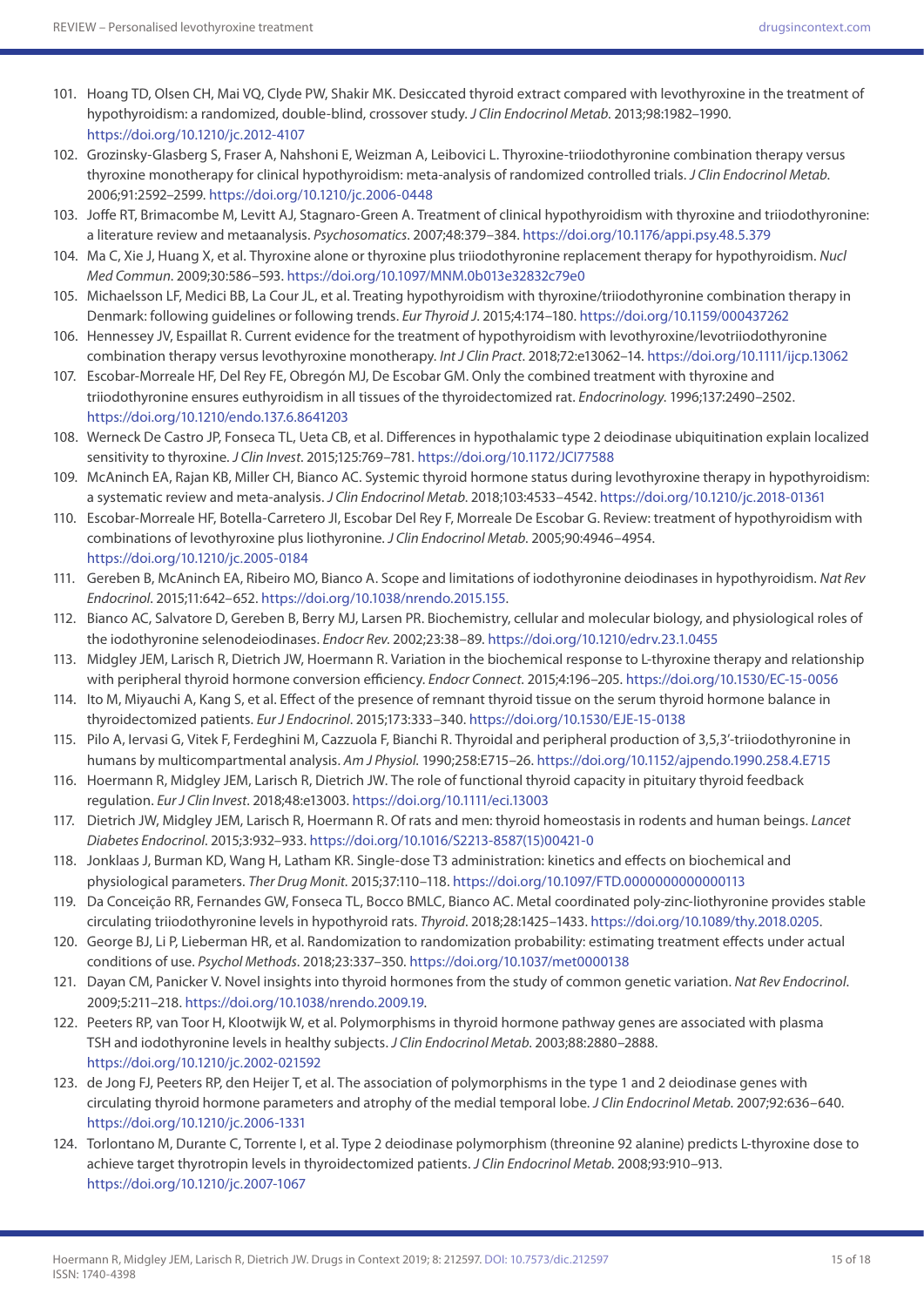- 101. Hoang TD, Olsen CH, Mai VQ, Clyde PW, Shakir MK. Desiccated thyroid extract compared with levothyroxine in the treatment of hypothyroidism: a randomized, double-blind, crossover study. *J Clin Endocrinol Metab*. 2013;98:1982–1990. <https://doi.org/10.1210/jc.2012-4107>
- 102. Grozinsky-Glasberg S, Fraser A, Nahshoni E, Weizman A, Leibovici L. Thyroxine-triiodothyronine combination therapy versus thyroxine monotherapy for clinical hypothyroidism: meta-analysis of randomized controlled trials. *J Clin Endocrinol Metab*. 2006;91:2592–2599. <https://doi.org/10.1210/jc.2006-0448>
- 103. Joffe RT, Brimacombe M, Levitt AJ, Stagnaro-Green A. Treatment of clinical hypothyroidism with thyroxine and triiodothyronine: a literature review and metaanalysis. *Psychosomatics*. 2007;48:379–384.<https://doi.org/10.1176/appi.psy.48.5.379>
- 104. Ma C, Xie J, Huang X, et al. Thyroxine alone or thyroxine plus triiodothyronine replacement therapy for hypothyroidism. *Nucl Med Commun*. 2009;30:586–593. <https://doi.org/10.1097/MNM.0b013e32832c79e0>
- 105. Michaelsson LF, Medici BB, La Cour JL, et al. Treating hypothyroidism with thyroxine/triiodothyronine combination therapy in Denmark: following guidelines or following trends. *Eur Thyroid J*. 2015;4:174–180. <https://doi.org/10.1159/000437262>
- 106. Hennessey JV, Espaillat R. Current evidence for the treatment of hypothyroidism with levothyroxine/levotriiodothyronine combination therapy versus levothyroxine monotherapy. *Int J Clin Pract*. 2018;72:e13062–14.<https://doi.org/10.1111/ijcp.13062>
- 107. Escobar-Morreale HF, Del Rey FE, Obregón MJ, De Escobar GM. Only the combined treatment with thyroxine and triiodothyronine ensures euthyroidism in all tissues of the thyroidectomized rat. *Endocrinology*. 1996;137:2490–2502. <https://doi.org/10.1210/endo.137.6.8641203>
- 108. Werneck De Castro JP, Fonseca TL, Ueta CB, et al. Differences in hypothalamic type 2 deiodinase ubiquitination explain localized sensitivity to thyroxine. *J Clin Invest*. 2015;125:769–781.<https://doi.org/10.1172/JCI77588>
- 109. McAninch EA, Rajan KB, Miller CH, Bianco AC. Systemic thyroid hormone status during levothyroxine therapy in hypothyroidism: a systematic review and meta-analysis. *J Clin Endocrinol Metab*. 2018;103:4533–4542. <https://doi.org/10.1210/jc.2018-01361>
- 110. Escobar-Morreale HF, Botella-Carretero JI, Escobar Del Rey F, Morreale De Escobar G. Review: treatment of hypothyroidism with combinations of levothyroxine plus liothyronine. *J Clin Endocrinol Metab*. 2005;90:4946–4954. <https://doi.org/10.1210/jc.2005-0184>
- 111. Gereben B, McAninch EA, Ribeiro MO, Bianco A. Scope and limitations of iodothyronine deiodinases in hypothyroidism. *Nat Rev Endocrinol*. 2015;11:642–652. [https://doi.org/10.1038/nrendo.2015.155.](https://doi.org/10.1038/nrendo.2015.155)
- 112. Bianco AC, Salvatore D, Gereben B, Berry MJ, Larsen PR. Biochemistry, cellular and molecular biology, and physiological roles of the iodothyronine selenodeiodinases. *Endocr Rev*. 2002;23:38–89.<https://doi.org/10.1210/edrv.23.1.0455>
- 113. Midgley JEM, Larisch R, Dietrich JW, Hoermann R. Variation in the biochemical response to L-thyroxine therapy and relationship with peripheral thyroid hormone conversion efficiency. *Endocr Connect*. 2015;4:196–205.<https://doi.org/10.1530/EC-15-0056>
- 114. Ito M, Miyauchi A, Kang S, et al. Effect of the presence of remnant thyroid tissue on the serum thyroid hormone balance in thyroidectomized patients. *Eur J Endocrinol*. 2015;173:333–340.<https://doi.org/10.1530/EJE-15-0138>
- 115. Pilo A, Iervasi G, Vitek F, Ferdeghini M, Cazzuola F, Bianchi R. Thyroidal and peripheral production of 3,5,3'-triiodothyronine in humans by multicompartmental analysis. *Am J Physiol*. 1990;258:E715–26.<https://doi.org/10.1152/ajpendo.1990.258.4.E715>
- 116. Hoermann R, Midgley JEM, Larisch R, Dietrich JW. The role of functional thyroid capacity in pituitary thyroid feedback regulation. *Eur J Clin Invest*. 2018;48:e13003.<https://doi.org/10.1111/eci.13003>
- 117. Dietrich JW, Midgley JEM, Larisch R, Hoermann R. Of rats and men: thyroid homeostasis in rodents and human beings. *Lancet Diabetes Endocrinol*. 2015;3:932–933. [https://doi.org/10.1016/S2213-8587\(15\)00421-0](https://doi.org/10.1016/S2213-8587(15)00421-0)
- 118. Jonklaas J, Burman KD, Wang H, Latham KR. Single-dose T3 administration: kinetics and effects on biochemical and physiological parameters. *Ther Drug Monit*. 2015;37:110–118. <https://doi.org/10.1097/FTD.0000000000000113>
- 119. Da Conceição RR, Fernandes GW, Fonseca TL, Bocco BMLC, Bianco AC. Metal coordinated poly-zinc-liothyronine provides stable circulating triiodothyronine levels in hypothyroid rats. *Thyroid*. 2018;28:1425–1433. <https://doi.org/10.1089/thy.2018.0205>.
- 120. George BJ, Li P, Lieberman HR, et al. Randomization to randomization probability: estimating treatment effects under actual conditions of use. *Psychol Methods*. 2018;23:337–350. <https://doi.org/10.1037/met0000138>
- 121. Dayan CM, Panicker V. Novel insights into thyroid hormones from the study of common genetic variation. *Nat Rev Endocrinol*. 2009;5:211–218.<https://doi.org/10.1038/nrendo.2009.19>.
- 122. Peeters RP, van Toor H, Klootwijk W, et al. Polymorphisms in thyroid hormone pathway genes are associated with plasma TSH and iodothyronine levels in healthy subjects. *J Clin Endocrinol Metab*. 2003;88:2880–2888. <https://doi.org/10.1210/jc.2002-021592>
- 123. de Jong FJ, Peeters RP, den Heijer T, et al. The association of polymorphisms in the type 1 and 2 deiodinase genes with circulating thyroid hormone parameters and atrophy of the medial temporal lobe. *J Clin Endocrinol Metab*. 2007;92:636–640. <https://doi.org/10.1210/jc.2006-1331>
- 124. Torlontano M, Durante C, Torrente I, et al. Type 2 deiodinase polymorphism (threonine 92 alanine) predicts L-thyroxine dose to achieve target thyrotropin levels in thyroidectomized patients. *J Clin Endocrinol Metab*. 2008;93:910–913. <https://doi.org/10.1210/jc.2007-1067>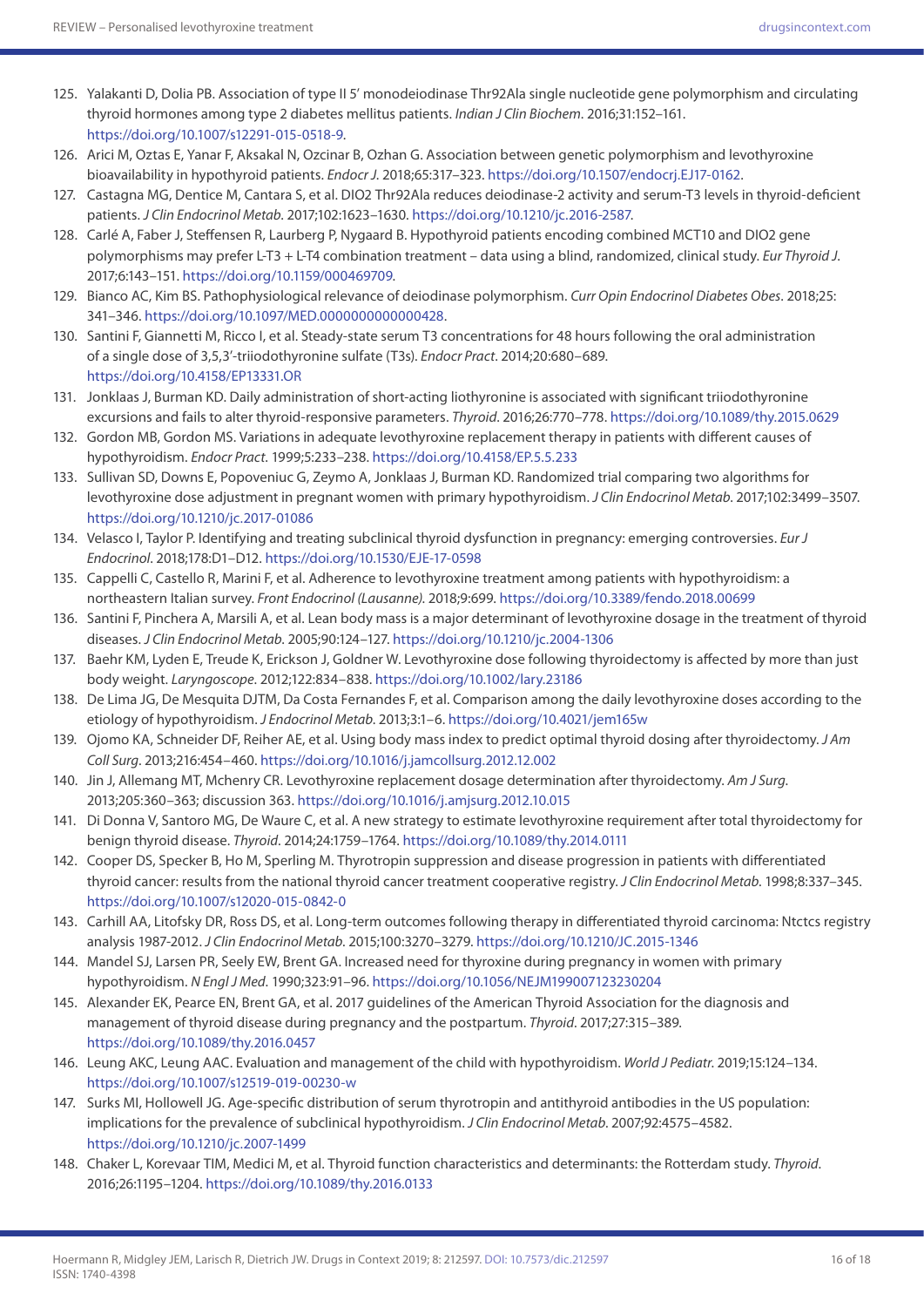- 125. Yalakanti D, Dolia PB. Association of type II 5' monodeiodinase Thr92Ala single nucleotide gene polymorphism and circulating thyroid hormones among type 2 diabetes mellitus patients. *Indian J Clin Biochem*. 2016;31:152–161. <https://doi.org/10.1007/s12291-015-0518-9>.
- 126. Arici M, Oztas E, Yanar F, Aksakal N, Ozcinar B, Ozhan G. Association between genetic polymorphism and levothyroxine bioavailability in hypothyroid patients. *Endocr J*. 2018;65:317–323.<https://doi.org/10.1507/endocrj.EJ17-0162>.
- 127. Castagna MG, Dentice M, Cantara S, et al. DIO2 Thr92Ala reduces deiodinase-2 activity and serum-T3 levels in thyroid-deficient patients. *J Clin Endocrinol Metab*. 2017;102:1623–1630. <https://doi.org/10.1210/jc.2016-2587>.
- 128. Carlé A, Faber J, Steffensen R, Laurberg P, Nygaard B. Hypothyroid patients encoding combined MCT10 and DIO2 gene polymorphisms may prefer L-T3 + L-T4 combination treatment – data using a blind, randomized, clinical study. *Eur Thyroid J*. 2017;6:143–151. [https://doi.org/10.1159/000469709.](https://doi.org/10.1159/000469709)
- 129. Bianco AC, Kim BS. Pathophysiological relevance of deiodinase polymorphism. *Curr Opin Endocrinol Diabetes Obes*. 2018;25: 341–346.<https://doi.org/10.1097/MED.0000000000000428>.
- 130. Santini F, Giannetti M, Ricco I, et al. Steady-state serum T3 concentrations for 48 hours following the oral administration of a single dose of 3,5,3'-triiodothyronine sulfate (T3s). *Endocr Pract*. 2014;20:680–689. <https://doi.org/10.4158/EP13331.OR>
- 131. Jonklaas J, Burman KD. Daily administration of short-acting liothyronine is associated with significant triiodothyronine excursions and fails to alter thyroid-responsive parameters. *Thyroid*. 2016;26:770–778.<https://doi.org/10.1089/thy.2015.0629>
- 132. Gordon MB, Gordon MS. Variations in adequate levothyroxine replacement therapy in patients with different causes of hypothyroidism. *Endocr Pract*. 1999;5:233–238.<https://doi.org/10.4158/EP.5.5.233>
- 133. Sullivan SD, Downs E, Popoveniuc G, Zeymo A, Jonklaas J, Burman KD. Randomized trial comparing two algorithms for levothyroxine dose adjustment in pregnant women with primary hypothyroidism. *J Clin Endocrinol Metab*. 2017;102:3499–3507. <https://doi.org/10.1210/jc.2017-01086>
- 134. Velasco I, Taylor P. Identifying and treating subclinical thyroid dysfunction in pregnancy: emerging controversies. *Eur J Endocrinol*. 2018;178:D1–D12. <https://doi.org/10.1530/EJE-17-0598>
- 135. Cappelli C, Castello R, Marini F, et al. Adherence to levothyroxine treatment among patients with hypothyroidism: a northeastern Italian survey. *Front Endocrinol (Lausanne)*. 2018;9:699. <https://doi.org/10.3389/fendo.2018.00699>
- 136. Santini F, Pinchera A, Marsili A, et al. Lean body mass is a major determinant of levothyroxine dosage in the treatment of thyroid diseases. *J Clin Endocrinol Metab*. 2005;90:124–127.<https://doi.org/10.1210/jc.2004-1306>
- 137. Baehr KM, Lyden E, Treude K, Erickson J, Goldner W. Levothyroxine dose following thyroidectomy is affected by more than just body weight. *Laryngoscope*. 2012;122:834–838. <https://doi.org/10.1002/lary.23186>
- 138. De Lima JG, De Mesquita DJTM, Da Costa Fernandes F, et al. Comparison among the daily levothyroxine doses according to the etiology of hypothyroidism. *J Endocrinol Metab*. 2013;3:1–6.<https://doi.org/10.4021/jem165w>
- 139. Ojomo KA, Schneider DF, Reiher AE, et al. Using body mass index to predict optimal thyroid dosing after thyroidectomy. *J Am Coll Surg*. 2013;216:454–460. <https://doi.org/10.1016/j.jamcollsurg.2012.12.002>
- 140. Jin J, Allemang MT, Mchenry CR. Levothyroxine replacement dosage determination after thyroidectomy. *Am J Surg*. 2013;205:360–363; discussion 363. <https://doi.org/10.1016/j.amjsurg.2012.10.015>
- 141. Di Donna V, Santoro MG, De Waure C, et al. A new strategy to estimate levothyroxine requirement after total thyroidectomy for benign thyroid disease. *Thyroid*. 2014;24:1759–1764. <https://doi.org/10.1089/thy.2014.0111>
- 142. Cooper DS, Specker B, Ho M, Sperling M. Thyrotropin suppression and disease progression in patients with differentiated thyroid cancer: results from the national thyroid cancer treatment cooperative registry. *J Clin Endocrinol Metab*. 1998;8:337–345. <https://doi.org/10.1007/s12020-015-0842-0>
- 143. Carhill AA, Litofsky DR, Ross DS, et al. Long-term outcomes following therapy in differentiated thyroid carcinoma: Ntctcs registry analysis 1987-2012. *J Clin Endocrinol Metab*. 2015;100:3270–3279.<https://doi.org/10.1210/JC.2015-1346>
- 144. Mandel SJ, Larsen PR, Seely EW, Brent GA. Increased need for thyroxine during pregnancy in women with primary hypothyroidism. *N Engl J Med*. 1990;323:91–96.<https://doi.org/10.1056/NEJM199007123230204>
- 145. Alexander EK, Pearce EN, Brent GA, et al. 2017 guidelines of the American Thyroid Association for the diagnosis and management of thyroid disease during pregnancy and the postpartum. *Thyroid*. 2017;27:315–389. <https://doi.org/10.1089/thy.2016.0457>
- 146. Leung AKC, Leung AAC. Evaluation and management of the child with hypothyroidism. *World J Pediatr*. 2019;15:124–134. <https://doi.org/10.1007/s12519-019-00230-w>
- 147. Surks MI, Hollowell JG. Age-specific distribution of serum thyrotropin and antithyroid antibodies in the US population: implications for the prevalence of subclinical hypothyroidism. *J Clin Endocrinol Metab*. 2007;92:4575–4582. <https://doi.org/10.1210/jc.2007-1499>
- 148. Chaker L, Korevaar TIM, Medici M, et al. Thyroid function characteristics and determinants: the Rotterdam study. *Thyroid*. 2016;26:1195–1204. <https://doi.org/10.1089/thy.2016.0133>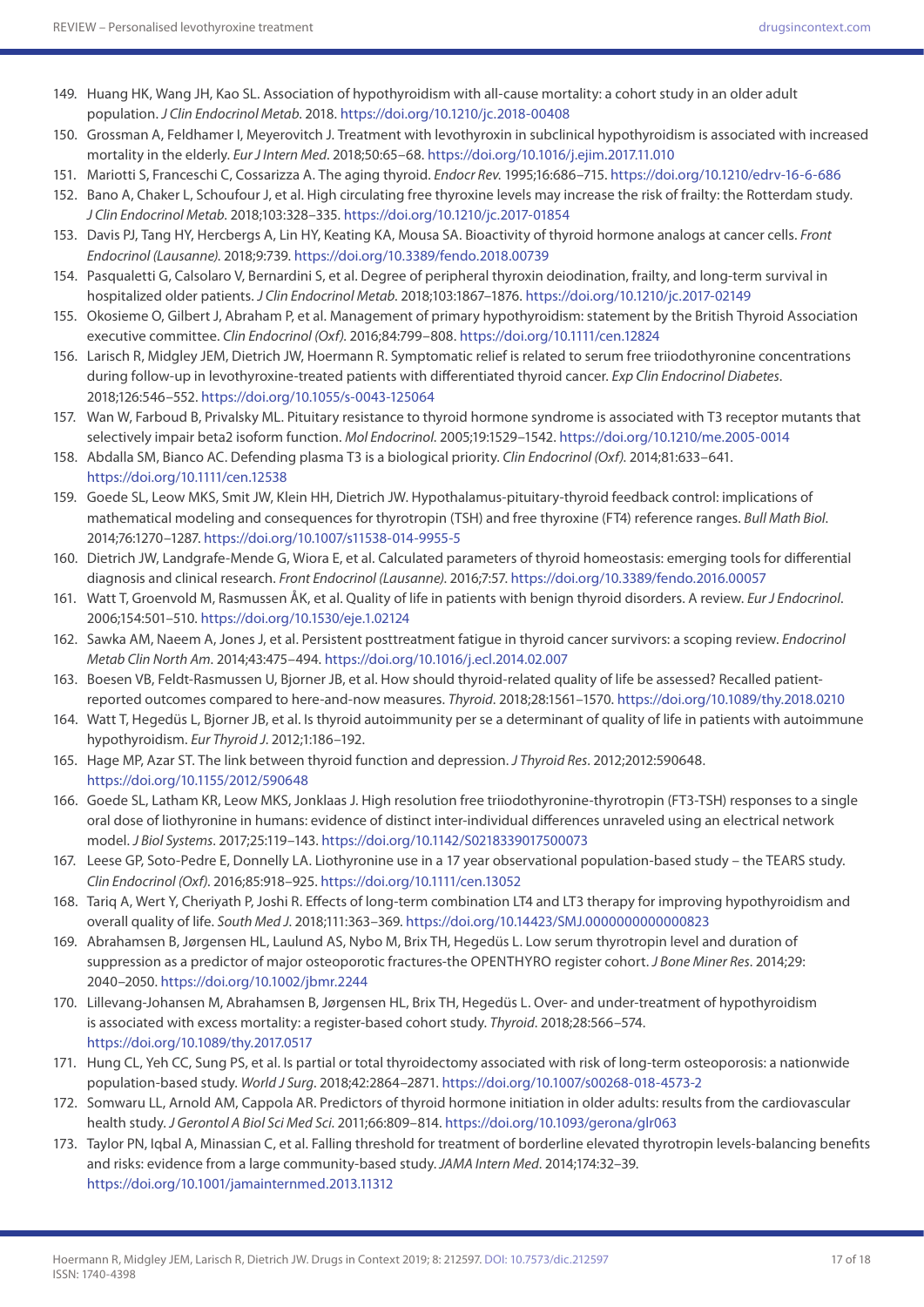- 149. Huang HK, Wang JH, Kao SL. Association of hypothyroidism with all-cause mortality: a cohort study in an older adult population. *J Clin Endocrinol Metab*. 2018.<https://doi.org/10.1210/jc.2018-00408>
- 150. Grossman A, Feldhamer I, Meyerovitch J. Treatment with levothyroxin in subclinical hypothyroidism is associated with increased mortality in the elderly. *Eur J Intern Med*. 2018;50:65–68. <https://doi.org/10.1016/j.ejim.2017.11.010>
- 151. Mariotti S, Franceschi C, Cossarizza A. The aging thyroid. *Endocr Rev*. 1995;16:686–715. <https://doi.org/10.1210/edrv-16-6-686>
- 152. Bano A, Chaker L, Schoufour J, et al. High circulating free thyroxine levels may increase the risk of frailty: the Rotterdam study. *J Clin Endocrinol Metab*. 2018;103:328–335. <https://doi.org/10.1210/jc.2017-01854>
- 153. Davis PJ, Tang HY, Hercbergs A, Lin HY, Keating KA, Mousa SA. Bioactivity of thyroid hormone analogs at cancer cells. *Front Endocrinol (Lausanne)*. 2018;9:739. <https://doi.org/10.3389/fendo.2018.00739>
- 154. Pasqualetti G, Calsolaro V, Bernardini S, et al. Degree of peripheral thyroxin deiodination, frailty, and long-term survival in hospitalized older patients. *J Clin Endocrinol Metab*. 2018;103:1867–1876. <https://doi.org/10.1210/jc.2017-02149>
- 155. Okosieme O, Gilbert J, Abraham P, et al. Management of primary hypothyroidism: statement by the British Thyroid Association executive committee. *Clin Endocrinol (Oxf)*. 2016;84:799–808.<https://doi.org/10.1111/cen.12824>
- 156. Larisch R, Midgley JEM, Dietrich JW, Hoermann R. Symptomatic relief is related to serum free triiodothyronine concentrations during follow-up in levothyroxine-treated patients with differentiated thyroid cancer. *Exp Clin Endocrinol Diabetes*. 2018;126:546–552. <https://doi.org/10.1055/s-0043-125064>
- 157. Wan W, Farboud B, Privalsky ML. Pituitary resistance to thyroid hormone syndrome is associated with T3 receptor mutants that selectively impair beta2 isoform function. *Mol Endocrinol*. 2005;19:1529–1542. <https://doi.org/10.1210/me.2005-0014>
- 158. Abdalla SM, Bianco AC. Defending plasma T3 is a biological priority. *Clin Endocrinol (Oxf)*. 2014;81:633–641. <https://doi.org/10.1111/cen.12538>
- 159. Goede SL, Leow MKS, Smit JW, Klein HH, Dietrich JW. Hypothalamus-pituitary-thyroid feedback control: implications of mathematical modeling and consequences for thyrotropin (TSH) and free thyroxine (FT4) reference ranges. *Bull Math Biol*. 2014;76:1270–1287.<https://doi.org/10.1007/s11538-014-9955-5>
- 160. Dietrich JW, Landgrafe-Mende G, Wiora E, et al. Calculated parameters of thyroid homeostasis: emerging tools for differential diagnosis and clinical research. *Front Endocrinol (Lausanne)*. 2016;7:57.<https://doi.org/10.3389/fendo.2016.00057>
- 161. Watt T, Groenvold M, Rasmussen ÅK, et al. Quality of life in patients with benign thyroid disorders. A review. *Eur J Endocrinol*. 2006;154:501–510.<https://doi.org/10.1530/eje.1.02124>
- 162. Sawka AM, Naeem A, Jones J, et al. Persistent posttreatment fatigue in thyroid cancer survivors: a scoping review. *Endocrinol Metab Clin North Am*. 2014;43:475–494.<https://doi.org/10.1016/j.ecl.2014.02.007>
- 163. Boesen VB, Feldt-Rasmussen U, Bjorner JB, et al. How should thyroid-related quality of life be assessed? Recalled patientreported outcomes compared to here-and-now measures. *Thyroid*. 2018;28:1561–1570. <https://doi.org/10.1089/thy.2018.0210>
- 164. Watt T, Hegedüs L, Bjorner JB, et al. Is thyroid autoimmunity per se a determinant of quality of life in patients with autoimmune hypothyroidism. *Eur Thyroid J*. 2012;1:186–192.
- 165. Hage MP, Azar ST. The link between thyroid function and depression. *J Thyroid Res*. 2012;2012:590648. <https://doi.org/10.1155/2012/590648>
- 166. Goede SL, Latham KR, Leow MKS, Jonklaas J. High resolution free triiodothyronine-thyrotropin (FT3-TSH) responses to a single oral dose of liothyronine in humans: evidence of distinct inter-individual differences unraveled using an electrical network model. *J Biol Systems*. 2017;25:119–143.<https://doi.org/10.1142/S0218339017500073>
- 167. Leese GP, Soto-Pedre E, Donnelly LA. Liothyronine use in a 17 year observational population-based study the TEARS study. *Clin Endocrinol (Oxf)*. 2016;85:918–925. <https://doi.org/10.1111/cen.13052>
- 168. Tariq A, Wert Y, Cheriyath P, Joshi R. Effects of long-term combination LT4 and LT3 therapy for improving hypothyroidism and overall quality of life. *South Med J*. 2018;111:363–369. <https://doi.org/10.14423/SMJ.0000000000000823>
- 169. Abrahamsen B, Jørgensen HL, Laulund AS, Nybo M, Brix TH, Hegedüs L. Low serum thyrotropin level and duration of suppression as a predictor of major osteoporotic fractures-the OPENTHYRO register cohort. *J Bone Miner Res*. 2014;29: 2040–2050. <https://doi.org/10.1002/jbmr.2244>
- 170. Lillevang-Johansen M, Abrahamsen B, Jørgensen HL, Brix TH, Hegedüs L. Over- and under-treatment of hypothyroidism is associated with excess mortality: a register-based cohort study. *Thyroid*. 2018;28:566–574. <https://doi.org/10.1089/thy.2017.0517>
- 171. Hung CL, Yeh CC, Sung PS, et al. Is partial or total thyroidectomy associated with risk of long-term osteoporosis: a nationwide population-based study. *World J Surg*. 2018;42:2864–2871. <https://doi.org/10.1007/s00268-018-4573-2>
- 172. Somwaru LL, Arnold AM, Cappola AR. Predictors of thyroid hormone initiation in older adults: results from the cardiovascular health study. *J Gerontol A Biol Sci Med Sci*. 2011;66:809–814. <https://doi.org/10.1093/gerona/glr063>
- 173. Taylor PN, Iqbal A, Minassian C, et al. Falling threshold for treatment of borderline elevated thyrotropin levels-balancing benefits and risks: evidence from a large community-based study. *JAMA Intern Med*. 2014;174:32–39. <https://doi.org/10.1001/jamainternmed.2013.11312>